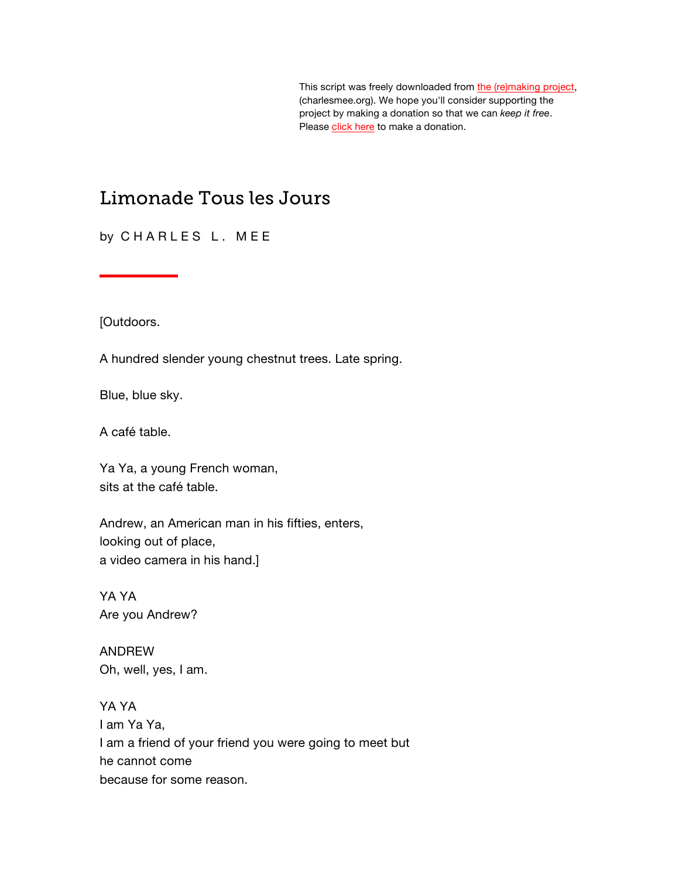This script was freely downloaded fro[m the \(re\)making project,](http://www.charlesmee.org/)  (charlesmee.org). We hope you'll consider supporting the project by making a donation so that we can *keep it free*. Please [click here](http://www.charlesmee.org/support-the-project.shtml) to make a donation.

# Limonade Tous les Jours

by CHARLES L. MEE

[Outdoors.

A hundred slender young chestnut trees. Late spring.

Blue, blue sky.

A café table.

Ya Ya, a young French woman, sits at the café table.

Andrew, an American man in his fifties, enters, looking out of place, a video camera in his hand.]

YA YA Are you Andrew?

ANDREW Oh, well, yes, I am.

YA YA I am Ya Ya, I am a friend of your friend you were going to meet but he cannot come because for some reason.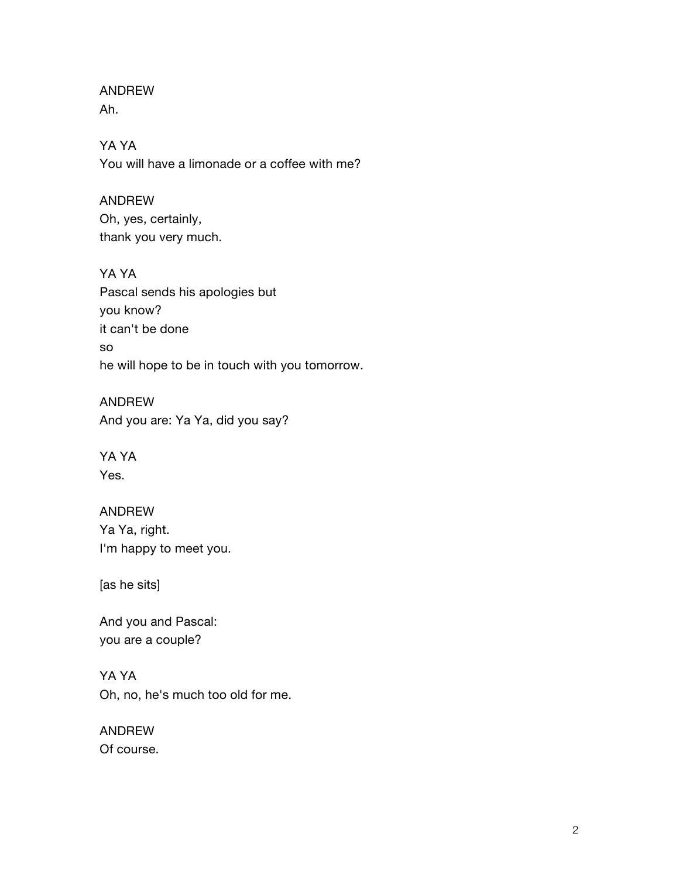# ANDREW

Ah.

# YA YA

You will have a limonade or a coffee with me?

# ANDREW

Oh, yes, certainly, thank you very much.

## YA YA

Pascal sends his apologies but you know? it can't be done so he will hope to be in touch with you tomorrow.

# ANDREW

And you are: Ya Ya, did you say?

#### YA YA Yes.

# ANDREW

Ya Ya, right. I'm happy to meet you.

[as he sits]

# And you and Pascal: you are a couple?

# YA YA Oh, no, he's much too old for me.

# ANDREW

Of course.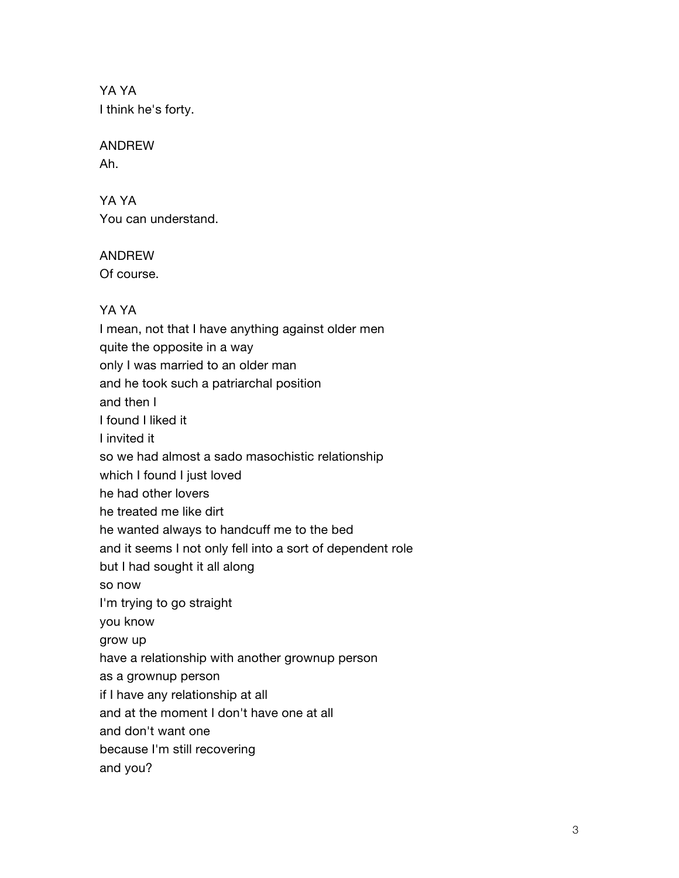YA YA I think he's forty.

ANDREW

Ah.

YA YA You can understand.

# ANDREW

Of course.

## YA YA

I mean, not that I have anything against older men quite the opposite in a way only I was married to an older man and he took such a patriarchal position and then I I found I liked it I invited it so we had almost a sado masochistic relationship which I found I just loved he had other lovers he treated me like dirt he wanted always to handcuff me to the bed and it seems I not only fell into a sort of dependent role but I had sought it all along so now I'm trying to go straight you know grow up have a relationship with another grownup person as a grownup person if I have any relationship at all and at the moment I don't have one at all and don't want one because I'm still recovering and you?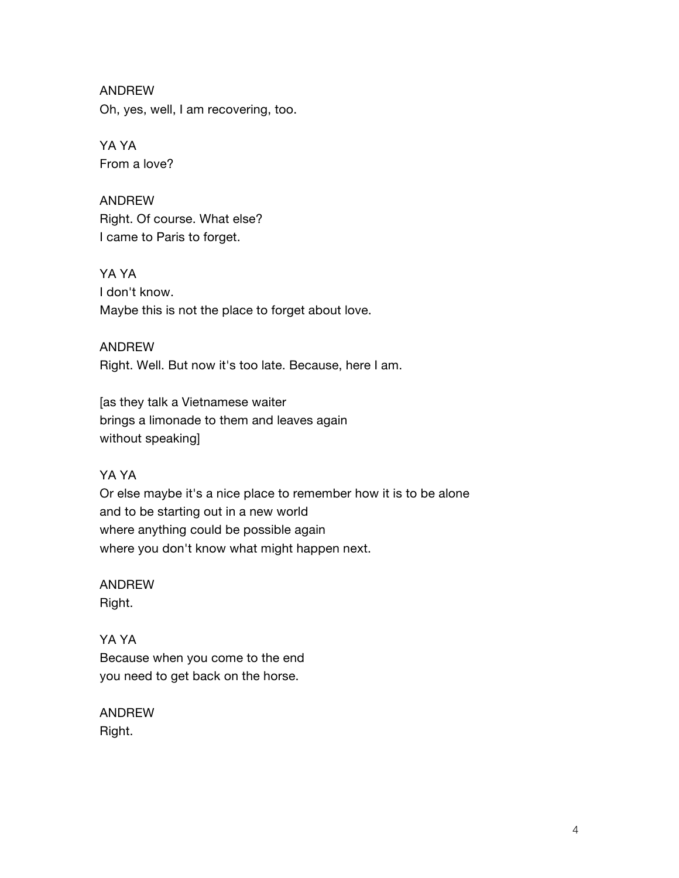ANDREW Oh, yes, well, I am recovering, too.

YA YA From a love?

ANDREW Right. Of course. What else? I came to Paris to forget.

YA YA I don't know. Maybe this is not the place to forget about love.

ANDREW Right. Well. But now it's too late. Because, here I am.

[as they talk a Vietnamese waiter brings a limonade to them and leaves again without speaking]

# YA YA

Or else maybe it's a nice place to remember how it is to be alone and to be starting out in a new world where anything could be possible again where you don't know what might happen next.

ANDREW Right.

YA YA Because when you come to the end you need to get back on the horse.

ANDREW Right.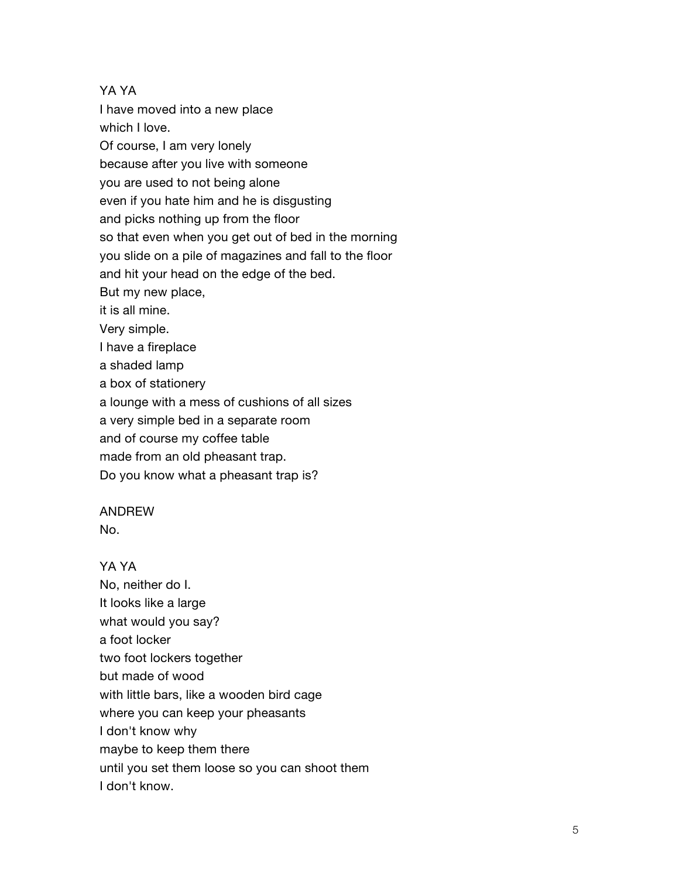YA YA

I have moved into a new place which I love. Of course, I am very lonely because after you live with someone you are used to not being alone even if you hate him and he is disgusting and picks nothing up from the floor so that even when you get out of bed in the morning you slide on a pile of magazines and fall to the floor and hit your head on the edge of the bed. But my new place, it is all mine. Very simple. I have a fireplace a shaded lamp a box of stationery a lounge with a mess of cushions of all sizes a very simple bed in a separate room and of course my coffee table made from an old pheasant trap. Do you know what a pheasant trap is?

### ANDREW

No.

YA YA No, neither do I. It looks like a large what would you say? a foot locker two foot lockers together but made of wood with little bars, like a wooden bird cage where you can keep your pheasants I don't know why maybe to keep them there until you set them loose so you can shoot them I don't know.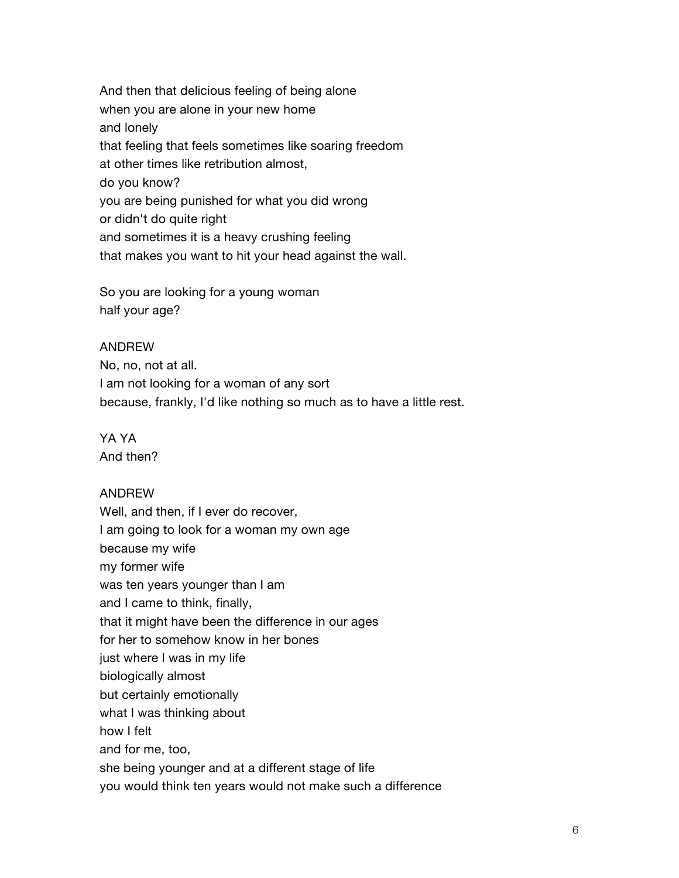And then that delicious feeling of being alone when you are alone in your new home and lonely that feeling that feels sometimes like soaring freedom at other times like retribution almost, do you know? you are being punished for what you did wrong or didn't do quite right and sometimes it is a heavy crushing feeling that makes you want to hit your head against the wall.

So you are looking for a young woman half your age?

#### ANDREW

No, no, not at all. I am not looking for a woman of any sort because, frankly, I'd like nothing so much as to have a little rest.

YA YA

And then?

#### ANDREW

Well, and then, if I ever do recover, I am going to look for a woman my own age because my wife my former wife was ten years younger than I am and I came to think, finally, that it might have been the difference in our ages for her to somehow know in her bones just where I was in my life biologically almost but certainly emotionally what I was thinking about how I felt and for me, too, she being younger and at a different stage of life you would think ten years would not make such a difference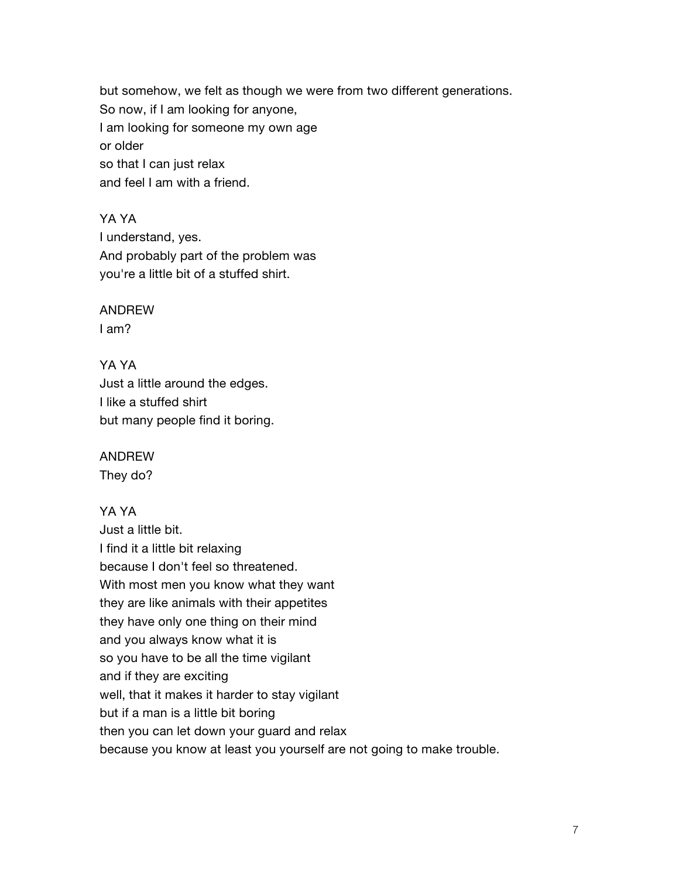but somehow, we felt as though we were from two different generations. So now, if I am looking for anyone, I am looking for someone my own age or older so that I can just relax and feel I am with a friend.

YA YA I understand, yes. And probably part of the problem was you're a little bit of a stuffed shirt.

ANDREW I am?

YA YA Just a little around the edges. I like a stuffed shirt but many people find it boring.

ANDREW

They do?

### YA YA

Just a little bit. I find it a little bit relaxing because I don't feel so threatened. With most men you know what they want they are like animals with their appetites they have only one thing on their mind and you always know what it is so you have to be all the time vigilant and if they are exciting well, that it makes it harder to stay vigilant but if a man is a little bit boring then you can let down your guard and relax because you know at least you yourself are not going to make trouble.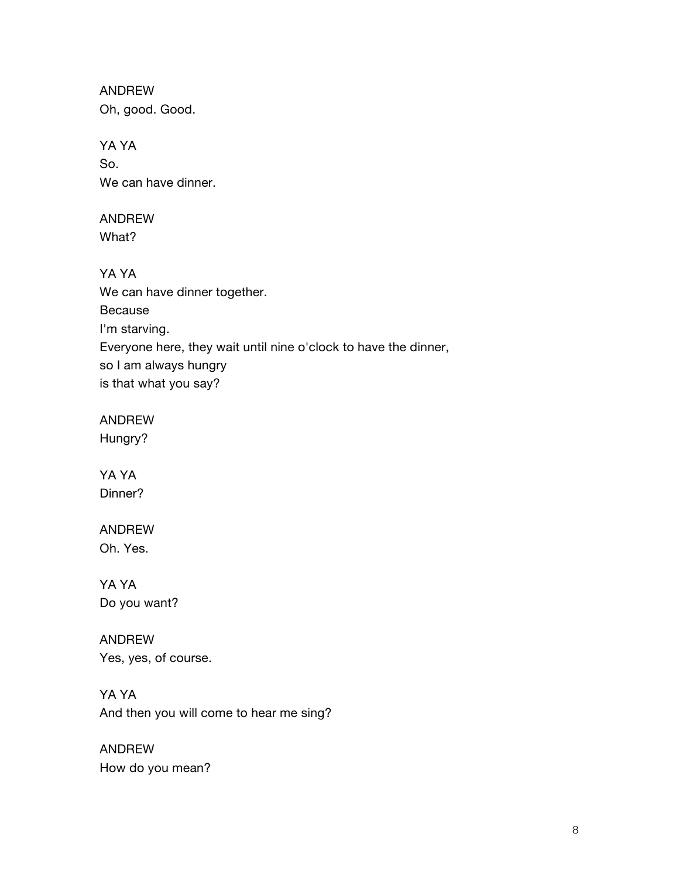ANDREW Oh, good. Good.

YA YA So. We can have dinner.

ANDREW What?

YA YA We can have dinner together. Because I'm starving. Everyone here, they wait until nine o'clock to have the dinner, so I am always hungry is that what you say?

ANDREW Hungry?

YA YA Dinner?

ANDREW Oh. Yes.

YA YA Do you want?

ANDREW Yes, yes, of course.

YA YA And then you will come to hear me sing?

ANDREW How do you mean?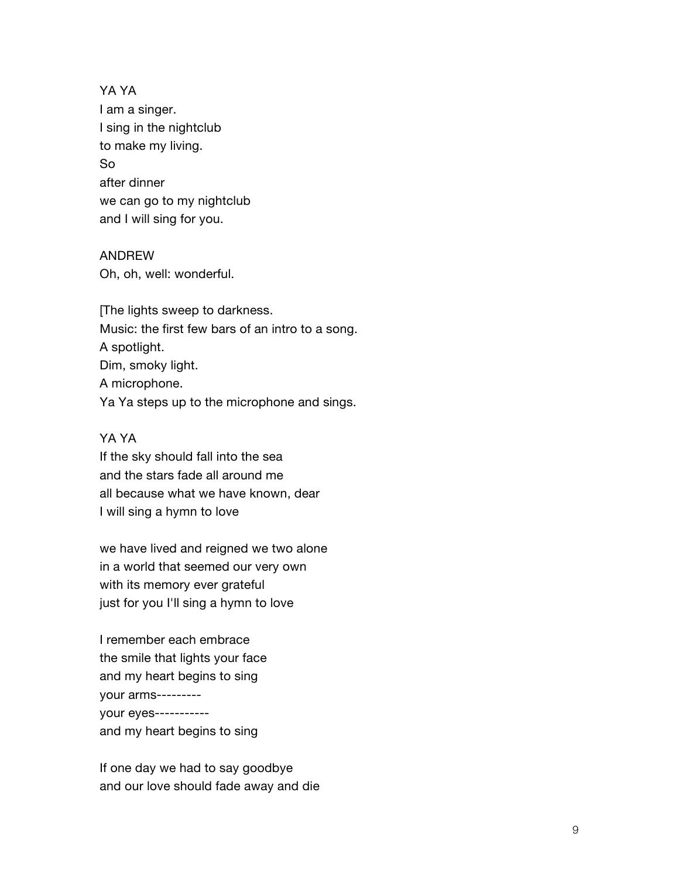YA YA I am a singer. I sing in the nightclub to make my living. So after dinner we can go to my nightclub and I will sing for you.

#### ANDREW

Oh, oh, well: wonderful.

[The lights sweep to darkness. Music: the first few bars of an intro to a song. A spotlight. Dim, smoky light. A microphone. Ya Ya steps up to the microphone and sings.

#### YA YA

If the sky should fall into the sea and the stars fade all around me all because what we have known, dear I will sing a hymn to love

we have lived and reigned we two alone in a world that seemed our very own with its memory ever grateful just for you I'll sing a hymn to love

I remember each embrace the smile that lights your face and my heart begins to sing your arms-------- your eyes---------- and my heart begins to sing

If one day we had to say goodbye and our love should fade away and die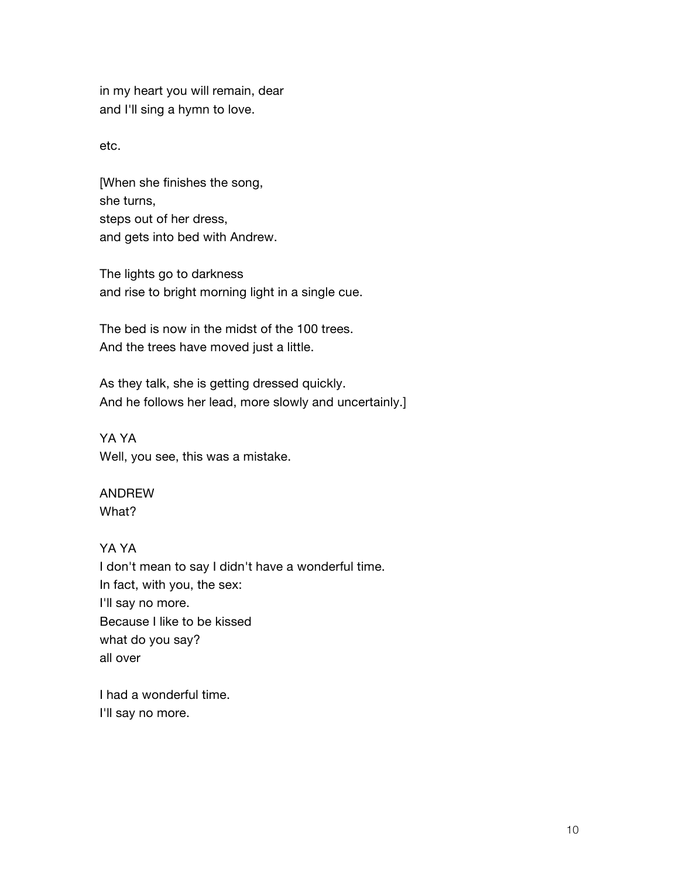in my heart you will remain, dear and I'll sing a hymn to love.

etc.

[When she finishes the song, she turns, steps out of her dress, and gets into bed with Andrew.

The lights go to darkness and rise to bright morning light in a single cue.

The bed is now in the midst of the 100 trees. And the trees have moved just a little.

As they talk, she is getting dressed quickly. And he follows her lead, more slowly and uncertainly.]

YA YA Well, you see, this was a mistake.

#### ANDREW What?

# YA YA

I don't mean to say I didn't have a wonderful time. In fact, with you, the sex: I'll say no more. Because I like to be kissed what do you say? all over

I had a wonderful time. I'll say no more.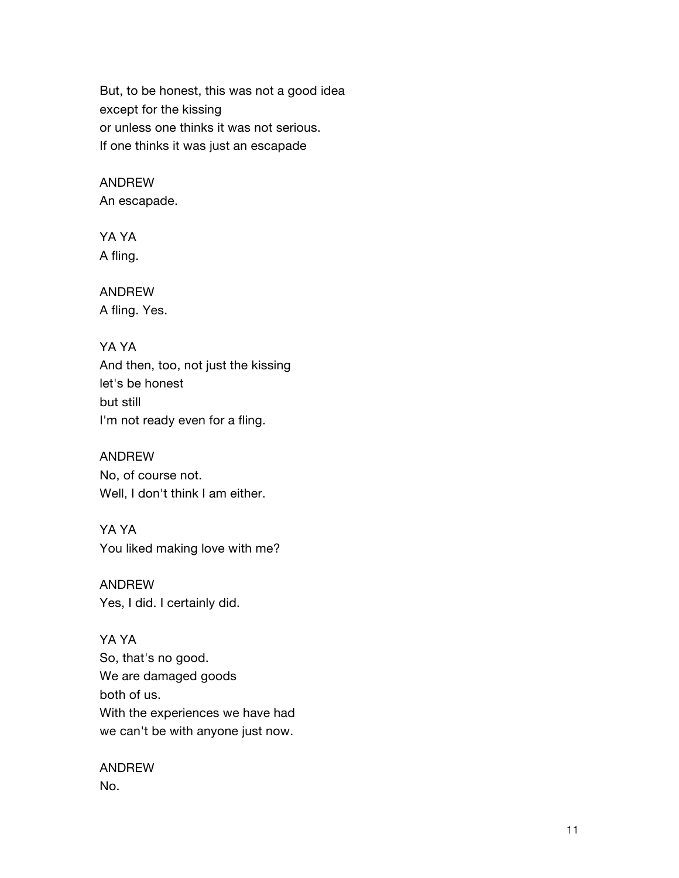But, to be honest, this was not a good idea except for the kissing or unless one thinks it was not serious. If one thinks it was just an escapade

#### ANDREW

An escapade.

# YA YA

A fling.

# ANDREW

A fling. Yes.

### YA YA

And then, too, not just the kissing let's be honest but still I'm not ready even for a fling.

### ANDREW

No, of course not. Well, I don't think I am either.

### YA YA

You liked making love with me?

ANDREW Yes, I did. I certainly did.

# YA YA So, that's no good. We are damaged goods both of us. With the experiences we have had we can't be with anyone just now.

ANDREW No.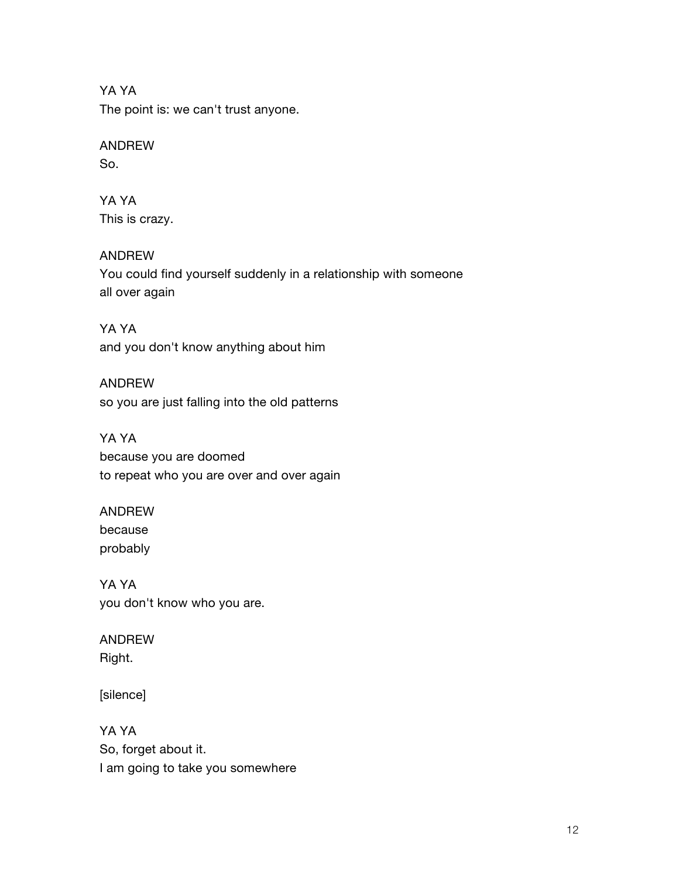YA YA The point is: we can't trust anyone.

# ANDREW

So.

# YA YA This is crazy.

# ANDREW

You could find yourself suddenly in a relationship with someone all over again

YA YA

and you don't know anything about him

ANDREW

so you are just falling into the old patterns

YA YA

because you are doomed to repeat who you are over and over again

# ANDREW

because probably

YA YA you don't know who you are.

# ANDREW Right.

[silence]

YA YA So, forget about it. I am going to take you somewhere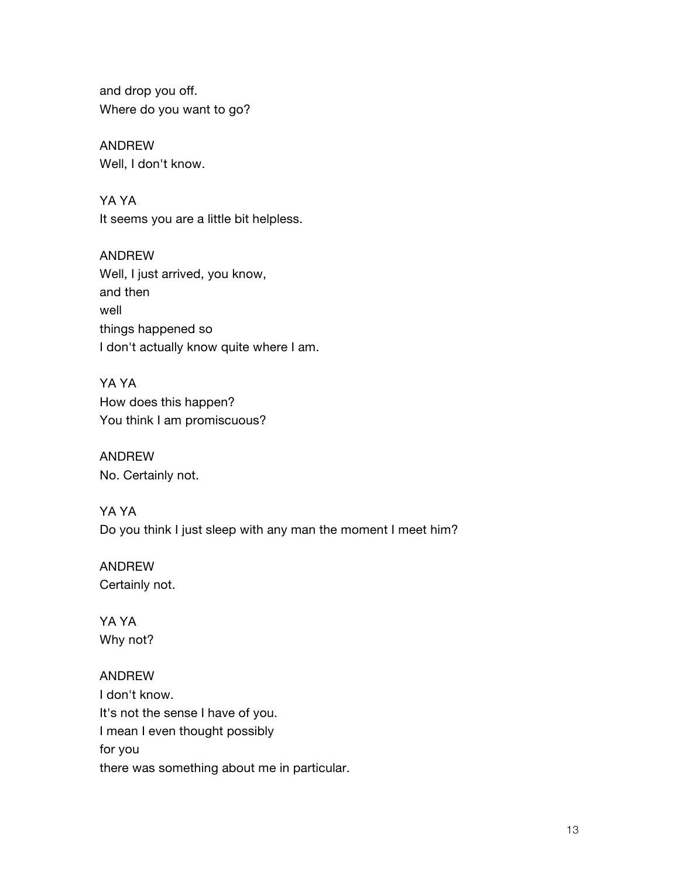and drop you off. Where do you want to go?

ANDREW Well, I don't know.

YA YA It seems you are a little bit helpless.

ANDREW Well, I just arrived, you know, and then well things happened so I don't actually know quite where I am.

YA YA How does this happen? You think I am promiscuous?

ANDREW No. Certainly not.

YA YA Do you think I just sleep with any man the moment I meet him?

ANDREW Certainly not.

YA YA Why not?

ANDREW I don't know. It's not the sense I have of you. I mean I even thought possibly for you there was something about me in particular.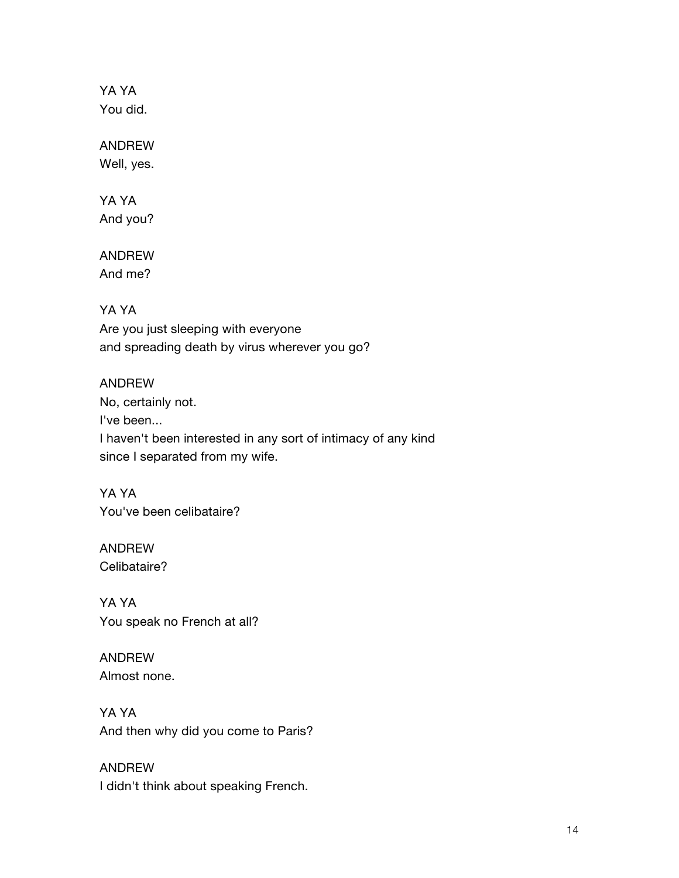YA YA You did.

### ANDREW

Well, yes.

# YA YA

And you?

ANDREW And me?

YA YA Are you just sleeping with everyone and spreading death by virus wherever you go?

ANDREW No, certainly not. I've been... I haven't been interested in any sort of intimacy of any kind since I separated from my wife.

YA YA You've been celibataire?

ANDREW Celibataire?

YA YA You speak no French at all?

ANDREW Almost none.

YA YA And then why did you come to Paris?

ANDREW I didn't think about speaking French.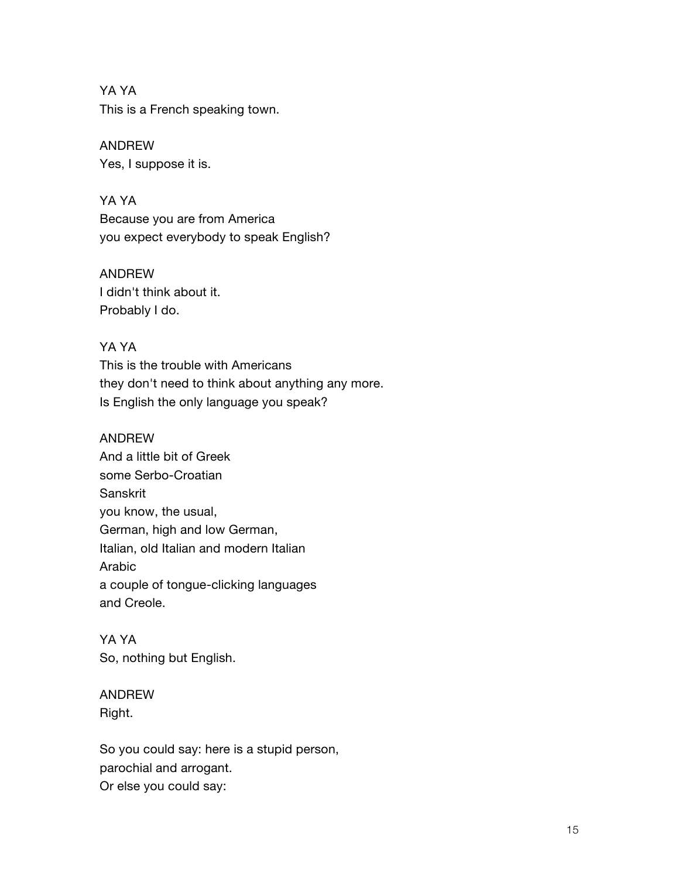YA YA This is a French speaking town.

ANDREW Yes, I suppose it is.

YA YA Because you are from America you expect everybody to speak English?

ANDREW I didn't think about it. Probably I do.

YA YA This is the trouble with Americans they don't need to think about anything any more. Is English the only language you speak?

ANDREW And a little bit of Greek some Serbo-Croatian **Sanskrit** you know, the usual, German, high and low German, Italian, old Italian and modern Italian Arabic a couple of tongue-clicking languages and Creole.

YA YA So, nothing but English.

ANDREW Right.

So you could say: here is a stupid person, parochial and arrogant. Or else you could say: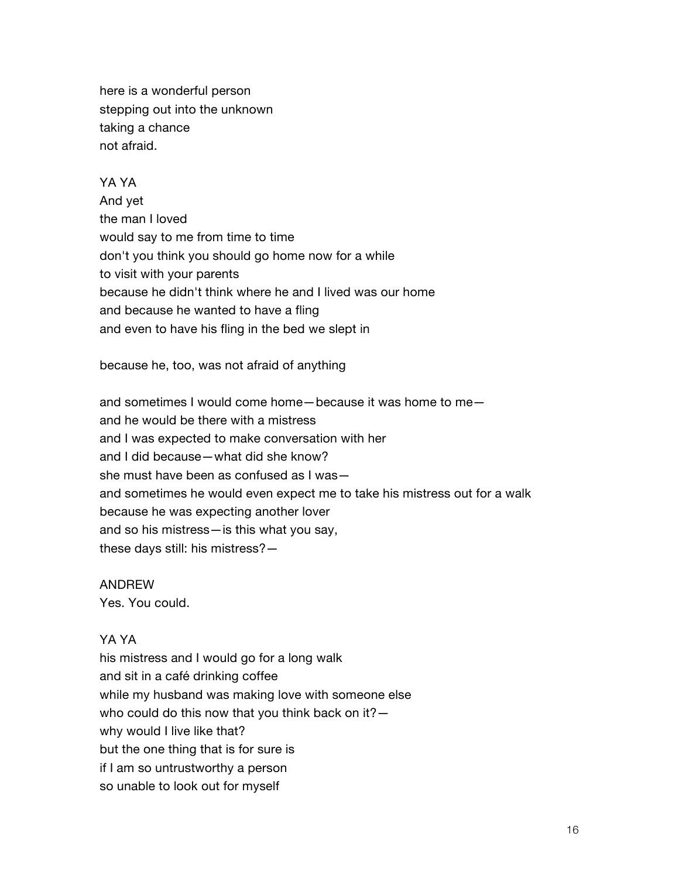here is a wonderful person stepping out into the unknown taking a chance not afraid.

#### YA YA

And yet the man I loved would say to me from time to time don't you think you should go home now for a while to visit with your parents because he didn't think where he and I lived was our home and because he wanted to have a fling and even to have his fling in the bed we slept in

because he, too, was not afraid of anything

and sometimes I would come home—because it was home to me and he would be there with a mistress and I was expected to make conversation with her and I did because—what did she know? she must have been as confused as I was and sometimes he would even expect me to take his mistress out for a walk because he was expecting another lover and so his mistress—is this what you say, these days still: his mistress?—

#### ANDREW

Yes. You could.

#### YA YA

his mistress and I would go for a long walk and sit in a café drinking coffee while my husband was making love with someone else who could do this now that you think back on it? why would I live like that? but the one thing that is for sure is if I am so untrustworthy a person so unable to look out for myself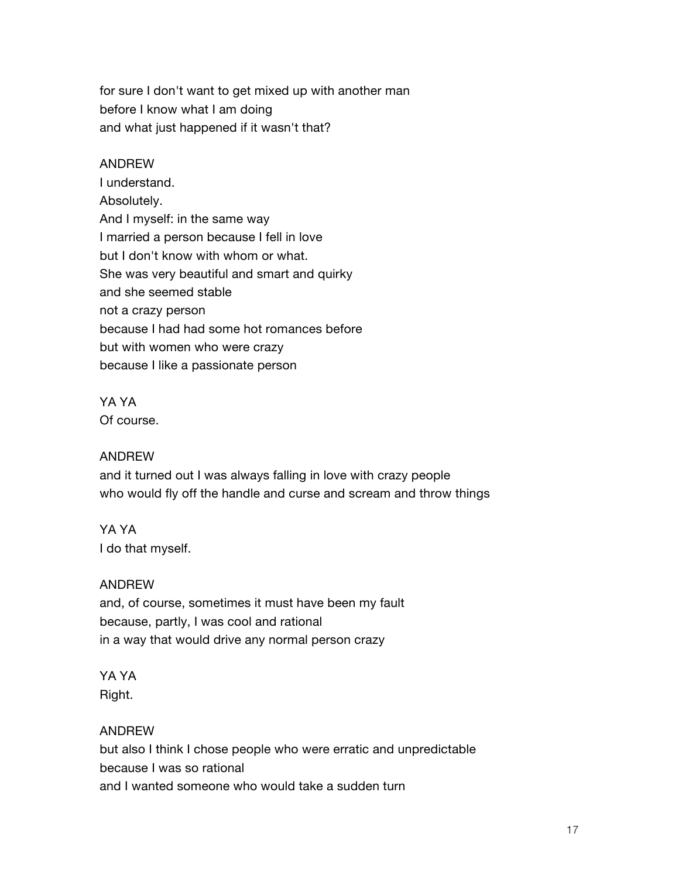for sure I don't want to get mixed up with another man before I know what I am doing and what just happened if it wasn't that?

#### ANDREW

I understand. Absolutely. And I myself: in the same way I married a person because I fell in love but I don't know with whom or what. She was very beautiful and smart and quirky and she seemed stable not a crazy person because I had had some hot romances before but with women who were crazy because I like a passionate person

#### YA YA

Of course.

#### ANDREW

and it turned out I was always falling in love with crazy people who would fly off the handle and curse and scream and throw things

YA YA I do that myself.

#### ANDREW

and, of course, sometimes it must have been my fault because, partly, I was cool and rational in a way that would drive any normal person crazy

# YA YA

Right.

### ANDREW

but also I think I chose people who were erratic and unpredictable because I was so rational and I wanted someone who would take a sudden turn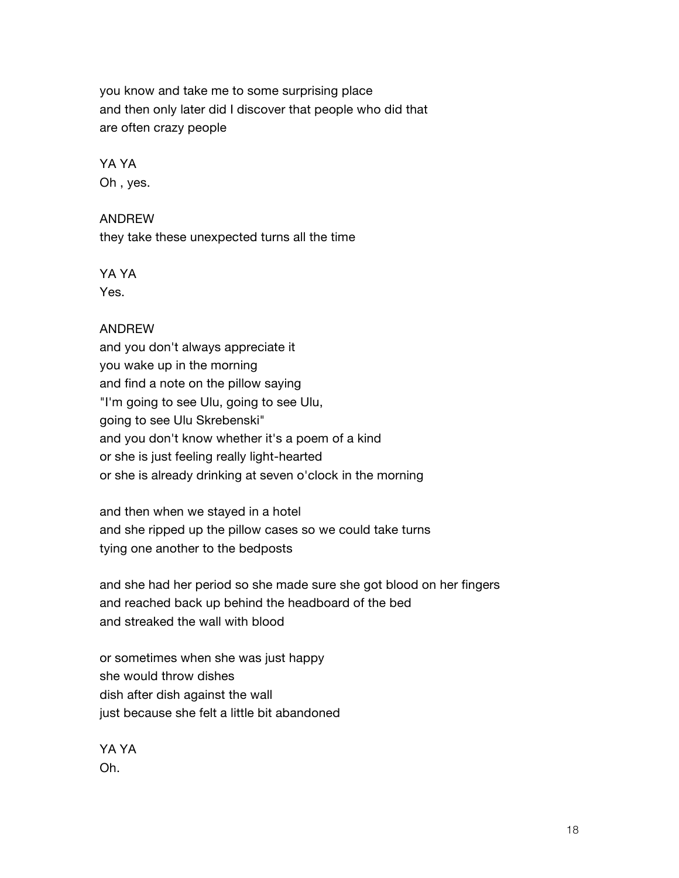you know and take me to some surprising place and then only later did I discover that people who did that are often crazy people

### YA YA

Oh , yes.

#### ANDREW

they take these unexpected turns all the time

# YA YA

Yes.

## ANDREW

and you don't always appreciate it you wake up in the morning and find a note on the pillow saying "I'm going to see Ulu, going to see Ulu, going to see Ulu Skrebenski" and you don't know whether it's a poem of a kind or she is just feeling really light-hearted or she is already drinking at seven o'clock in the morning

and then when we stayed in a hotel and she ripped up the pillow cases so we could take turns tying one another to the bedposts

and she had her period so she made sure she got blood on her fingers and reached back up behind the headboard of the bed and streaked the wall with blood

or sometimes when she was just happy she would throw dishes dish after dish against the wall just because she felt a little bit abandoned

YA YA Oh.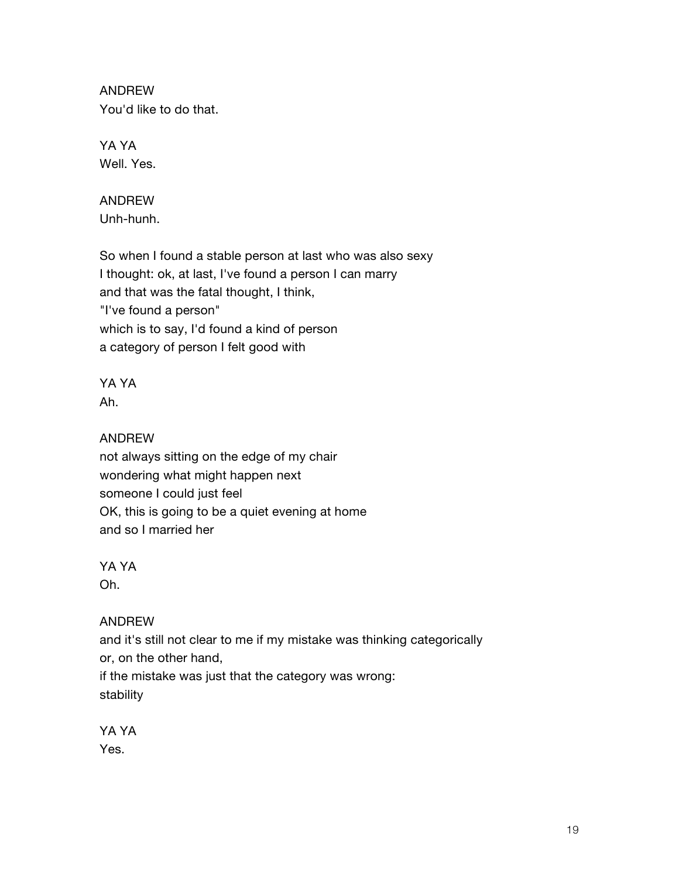ANDREW You'd like to do that.

YA YA Well. Yes.

# ANDREW

Unh-hunh.

So when I found a stable person at last who was also sexy I thought: ok, at last, I've found a person I can marry and that was the fatal thought, I think, "I've found a person" which is to say, I'd found a kind of person a category of person I felt good with

YA YA Ah.

# ANDREW

not always sitting on the edge of my chair wondering what might happen next someone I could just feel OK, this is going to be a quiet evening at home and so I married her

# YA YA

Oh.

# ANDREW

and it's still not clear to me if my mistake was thinking categorically or, on the other hand, if the mistake was just that the category was wrong: stability

YA YA Yes.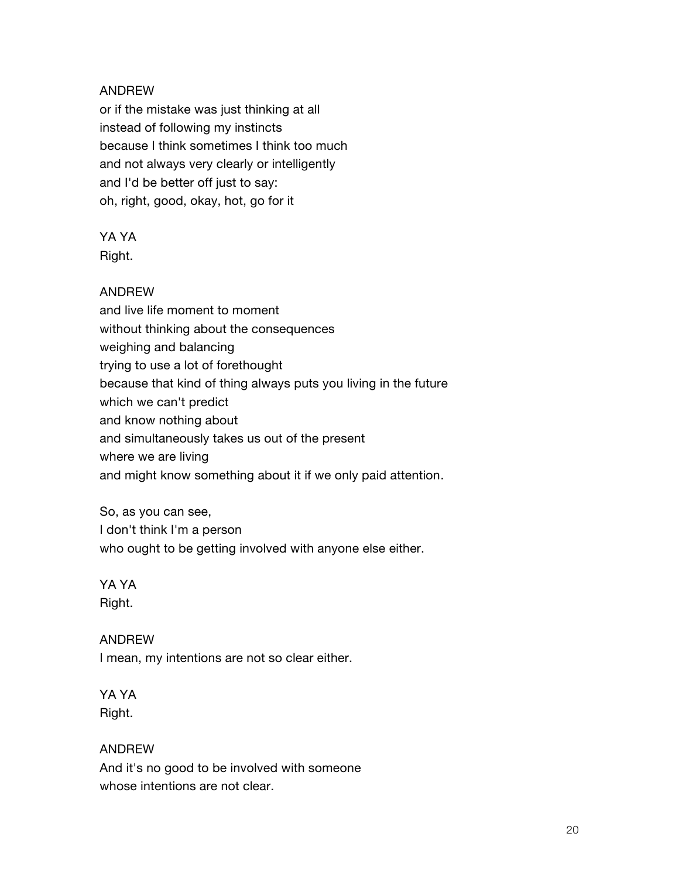### ANDREW

or if the mistake was just thinking at all instead of following my instincts because I think sometimes I think too much and not always very clearly or intelligently and I'd be better off just to say: oh, right, good, okay, hot, go for it

YA YA

Right.

### ANDREW

and live life moment to moment without thinking about the consequences weighing and balancing trying to use a lot of forethought because that kind of thing always puts you living in the future which we can't predict and know nothing about and simultaneously takes us out of the present where we are living and might know something about it if we only paid attention.

So, as you can see, I don't think I'm a person who ought to be getting involved with anyone else either.

YA YA Right.

### ANDREW

I mean, my intentions are not so clear either.

### YA YA Right.

ANDREW

And it's no good to be involved with someone whose intentions are not clear.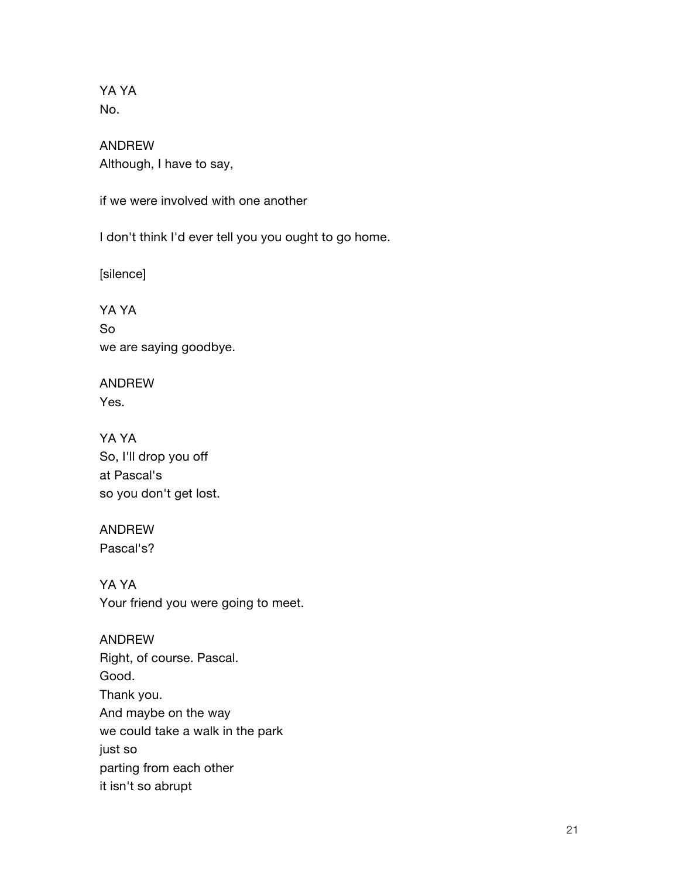YA YA No.

ANDREW Although, I have to say,

if we were involved with one another

I don't think I'd ever tell you you ought to go home.

[silence]

YA YA So we are saying goodbye.

ANDREW Yes.

YA YA So, I'll drop you off at Pascal's so you don't get lost.

# ANDREW

Pascal's?

YA YA Your friend you were going to meet.

ANDREW Right, of course. Pascal. Good. Thank you. And maybe on the way we could take a walk in the park just so parting from each other it isn't so abrupt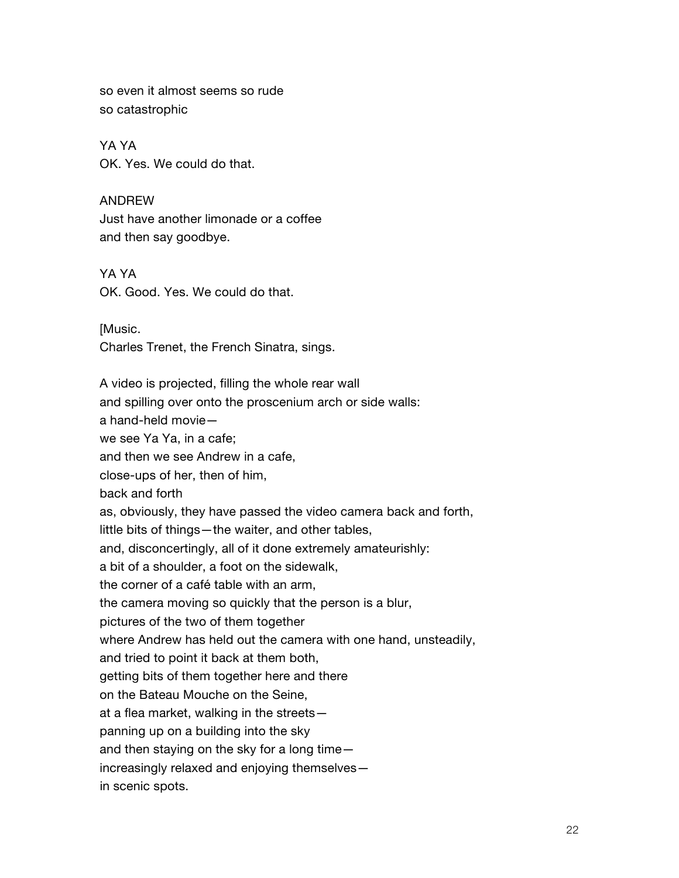so even it almost seems so rude so catastrophic

YA YA OK. Yes. We could do that.

### ANDREW

Just have another limonade or a coffee and then say goodbye.

YA YA

OK. Good. Yes. We could do that.

[Music.

Charles Trenet, the French Sinatra, sings.

A video is projected, filling the whole rear wall and spilling over onto the proscenium arch or side walls: a hand-held movie we see Ya Ya, in a cafe; and then we see Andrew in a cafe, close-ups of her, then of him, back and forth as, obviously, they have passed the video camera back and forth, little bits of things—the waiter, and other tables, and, disconcertingly, all of it done extremely amateurishly: a bit of a shoulder, a foot on the sidewalk, the corner of a café table with an arm, the camera moving so quickly that the person is a blur, pictures of the two of them together where Andrew has held out the camera with one hand, unsteadily, and tried to point it back at them both, getting bits of them together here and there on the Bateau Mouche on the Seine, at a flea market, walking in the streets panning up on a building into the sky and then staying on the sky for a long time increasingly relaxed and enjoying themselves in scenic spots.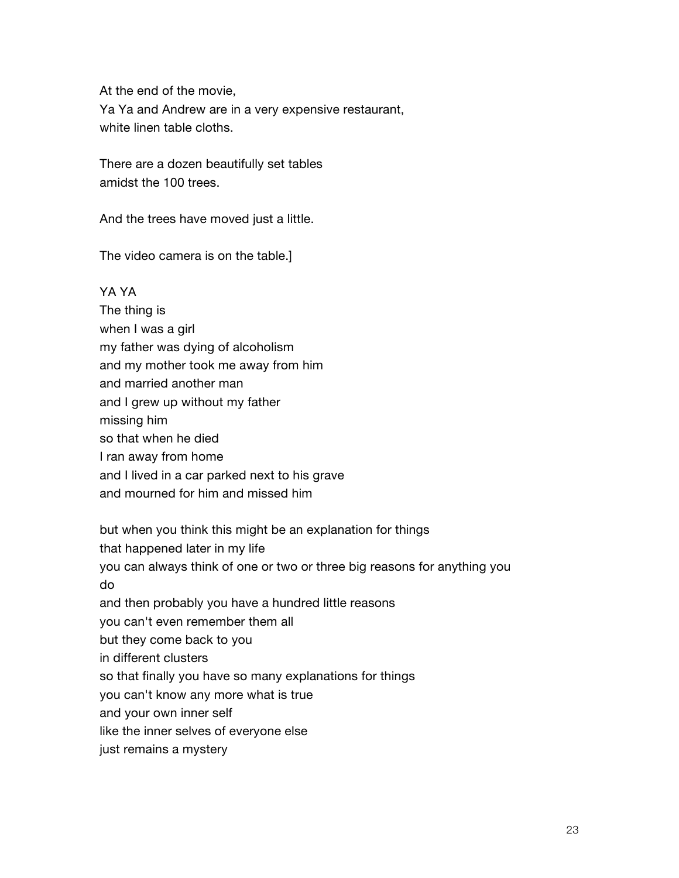At the end of the movie, Ya Ya and Andrew are in a very expensive restaurant, white linen table cloths.

There are a dozen beautifully set tables amidst the 100 trees.

And the trees have moved just a little.

The video camera is on the table.]

YA YA

The thing is when I was a girl my father was dying of alcoholism and my mother took me away from him and married another man and I grew up without my father missing him so that when he died I ran away from home and I lived in a car parked next to his grave and mourned for him and missed him

but when you think this might be an explanation for things that happened later in my life you can always think of one or two or three big reasons for anything you do and then probably you have a hundred little reasons you can't even remember them all but they come back to you in different clusters so that finally you have so many explanations for things you can't know any more what is true and your own inner self like the inner selves of everyone else

just remains a mystery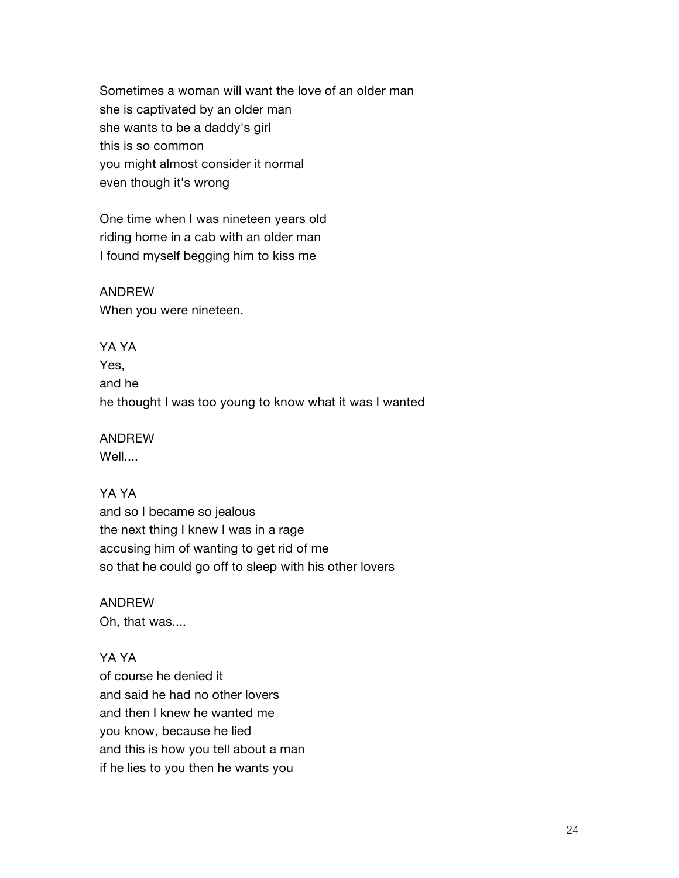Sometimes a woman will want the love of an older man she is captivated by an older man she wants to be a daddy's girl this is so common you might almost consider it normal even though it's wrong

One time when I was nineteen years old riding home in a cab with an older man I found myself begging him to kiss me

#### ANDREW

When you were nineteen.

YA YA Yes, and he he thought I was too young to know what it was I wanted

### ANDREW

Well....

#### YA YA

and so I became so jealous the next thing I knew I was in a rage accusing him of wanting to get rid of me so that he could go off to sleep with his other lovers

# ANDREW

Oh, that was....

### YA YA

of course he denied it and said he had no other lovers and then I knew he wanted me you know, because he lied and this is how you tell about a man if he lies to you then he wants you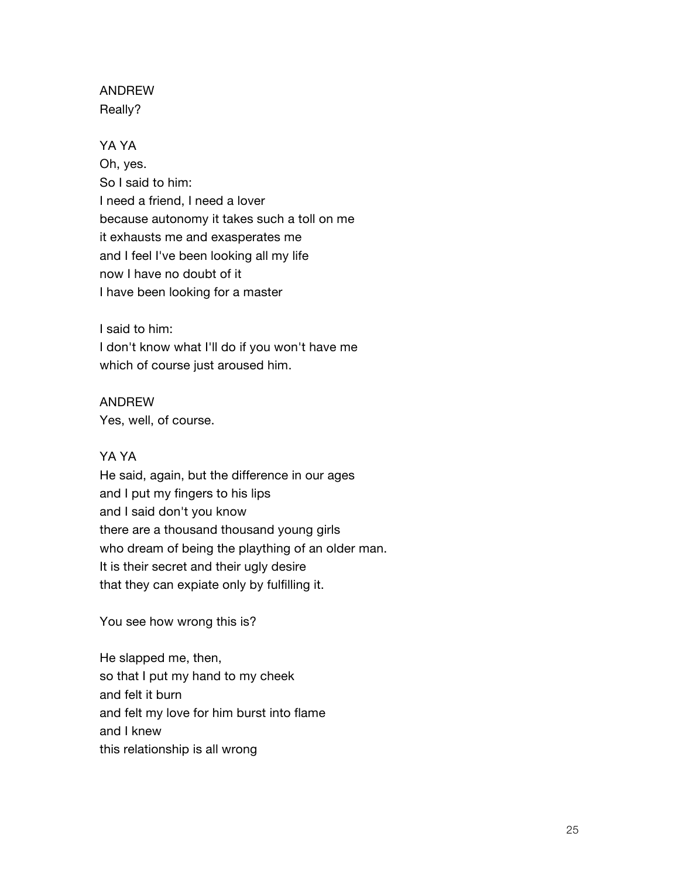## ANDREW Really?

# YA YA Oh, yes. So I said to him: I need a friend, I need a lover because autonomy it takes such a toll on me it exhausts me and exasperates me and I feel I've been looking all my life now I have no doubt of it I have been looking for a master

I said to him:

I don't know what I'll do if you won't have me which of course just aroused him.

### ANDREW

Yes, well, of course.

### YA YA

He said, again, but the difference in our ages and I put my fingers to his lips and I said don't you know there are a thousand thousand young girls who dream of being the plaything of an older man. It is their secret and their ugly desire that they can expiate only by fulfilling it.

You see how wrong this is?

He slapped me, then, so that I put my hand to my cheek and felt it burn and felt my love for him burst into flame and I knew this relationship is all wrong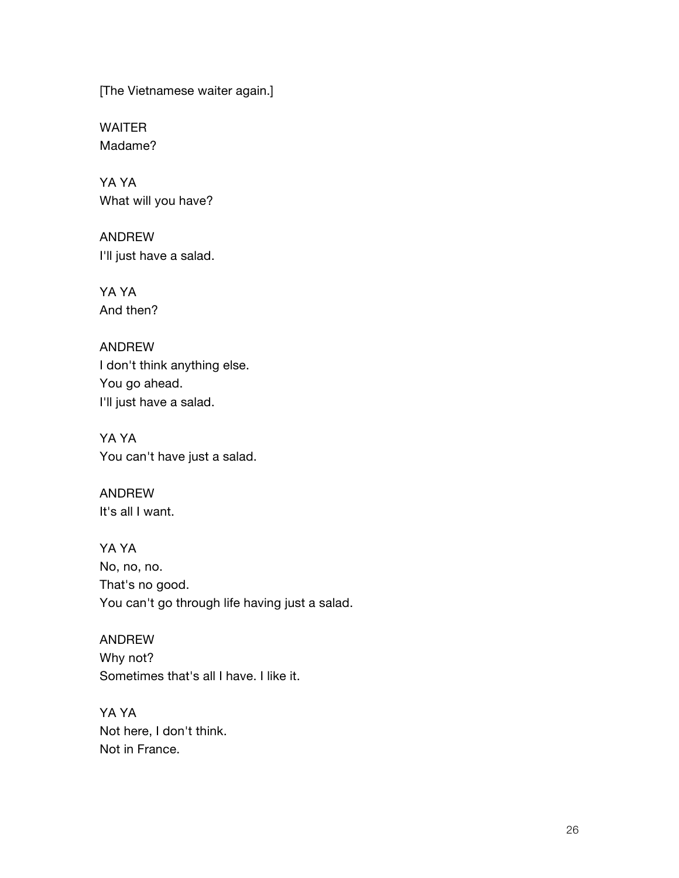[The Vietnamese waiter again.]

WAITER Madame?

YA YA What will you have?

ANDREW I'll just have a salad.

YA YA And then?

ANDREW I don't think anything else. You go ahead. I'll just have a salad.

YA YA You can't have just a salad.

ANDREW It's all I want.

YA YA No, no, no. That's no good. You can't go through life having just a salad.

ANDREW Why not? Sometimes that's all I have. I like it.

YA YA Not here, I don't think. Not in France.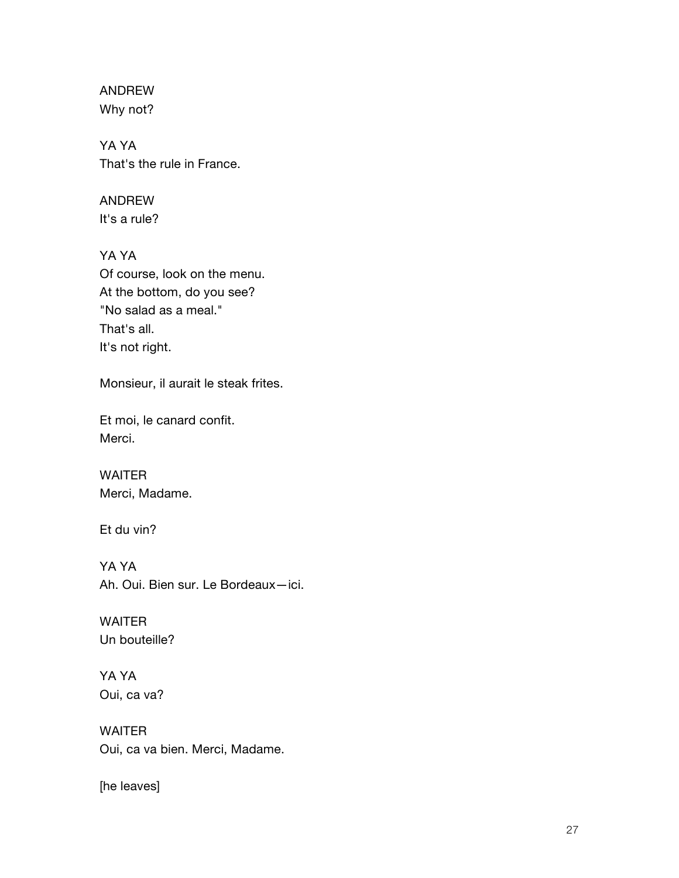ANDREW Why not?

YA YA That's the rule in France.

# ANDREW

It's a rule?

# YA YA

Of course, look on the menu. At the bottom, do you see? "No salad as a meal." That's all. It's not right.

Monsieur, il aurait le steak frites.

Et moi, le canard confit. Merci.

WAITER Merci, Madame.

Et du vin?

YA YA Ah. Oui. Bien sur. Le Bordeaux—ici.

# WAITER Un bouteille?

YA YA Oui, ca va?

WAITER Oui, ca va bien. Merci, Madame.

[he leaves]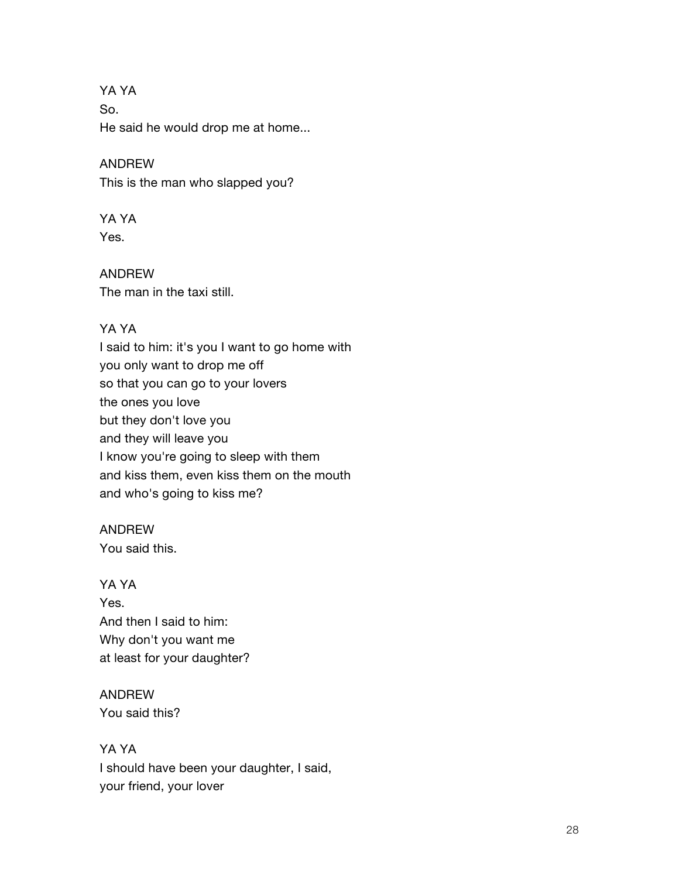YA YA So. He said he would drop me at home...

ANDREW This is the man who slapped you?

YA YA

Yes.

ANDREW The man in the taxi still.

### YA YA

I said to him: it's you I want to go home with you only want to drop me off so that you can go to your lovers the ones you love but they don't love you and they will leave you I know you're going to sleep with them and kiss them, even kiss them on the mouth and who's going to kiss me?

### ANDREW

You said this.

#### YA YA

Yes. And then I said to him: Why don't you want me at least for your daughter?

#### ANDREW

You said this?

# YA YA

I should have been your daughter, I said, your friend, your lover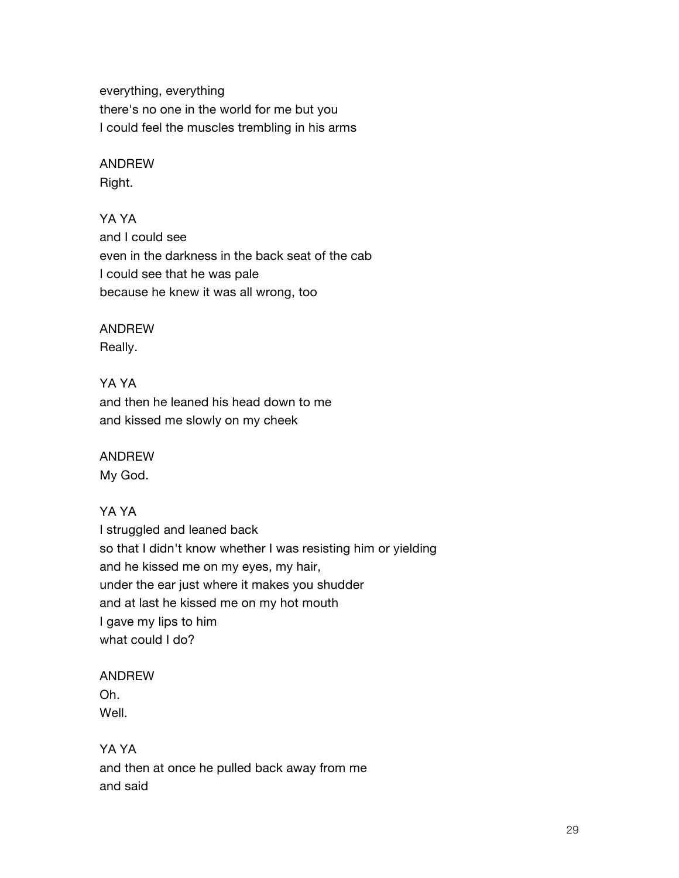everything, everything there's no one in the world for me but you I could feel the muscles trembling in his arms

## ANDREW

Right.

### YA YA

and I could see even in the darkness in the back seat of the cab I could see that he was pale because he knew it was all wrong, too

# ANDREW

Really.

## YA YA

and then he leaned his head down to me and kissed me slowly on my cheek

# ANDREW

My God.

# YA YA

I struggled and leaned back so that I didn't know whether I was resisting him or yielding and he kissed me on my eyes, my hair, under the ear just where it makes you shudder and at last he kissed me on my hot mouth I gave my lips to him what could I do?

### ANDREW

Oh. Well.

# YA YA

and then at once he pulled back away from me and said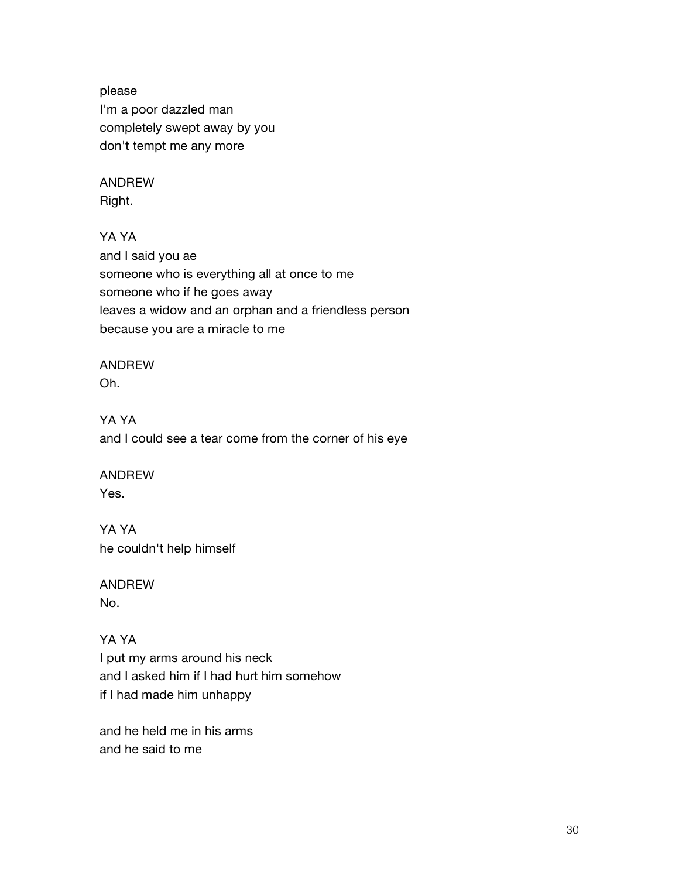please I'm a poor dazzled man completely swept away by you don't tempt me any more

#### ANDREW

Right.

#### YA YA

and I said you ae someone who is everything all at once to me someone who if he goes away leaves a widow and an orphan and a friendless person because you are a miracle to me

#### ANDREW

Oh.

# YA YA and I could see a tear come from the corner of his eye

### ANDREW

Yes.

YA YA he couldn't help himself

# ANDREW

No.

### YA YA

I put my arms around his neck and I asked him if I had hurt him somehow if I had made him unhappy

and he held me in his arms and he said to me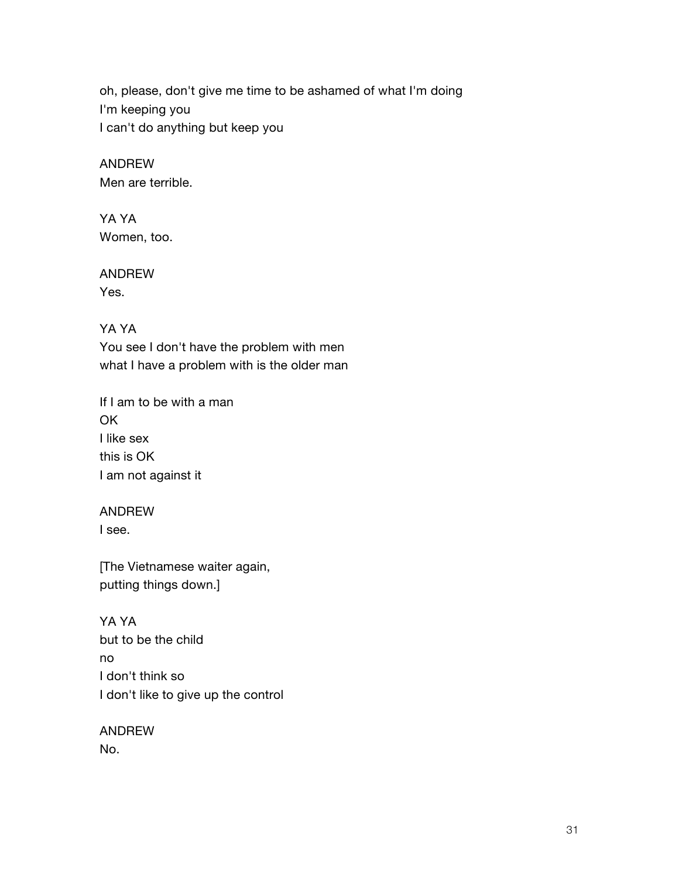oh, please, don't give me time to be ashamed of what I'm doing I'm keeping you I can't do anything but keep you

ANDREW Men are terrible.

YA YA Women, too.

ANDREW Yes.

YA YA

You see I don't have the problem with men what I have a problem with is the older man

If I am to be with a man OK I like sex this is OK I am not against it

# ANDREW

I see.

[The Vietnamese waiter again, putting things down.]

YA YA

but to be the child no I don't think so I don't like to give up the control

ANDREW No.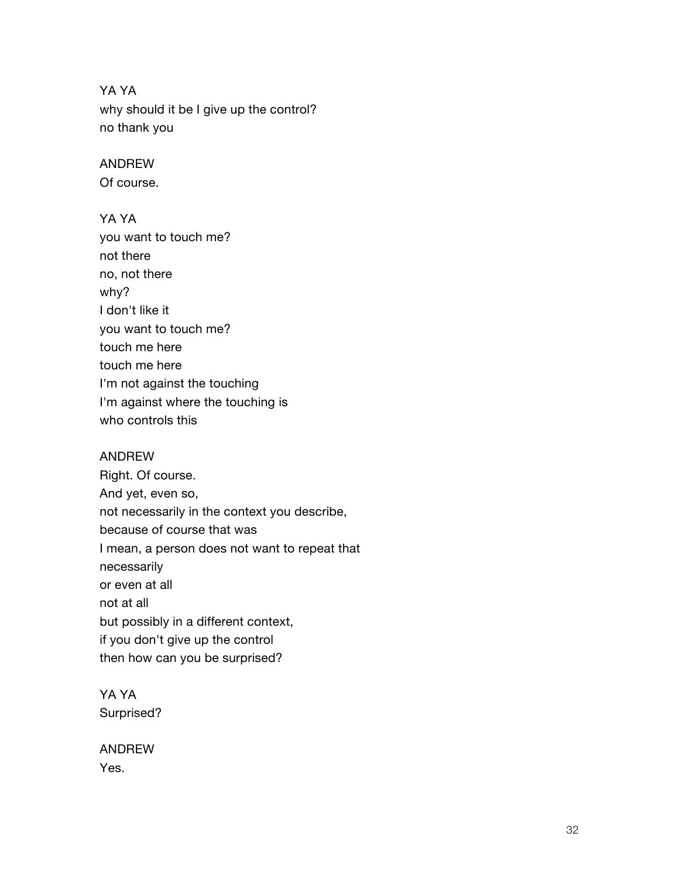YA YA why should it be I give up the control? no thank you

#### ANDREW

Of course.

#### YA YA

you want to touch me? not there no, not there why? I don't like it you want to touch me? touch me here touch me here I'm not against the touching I'm against where the touching is who controls this

#### ANDREW

Right. Of course. And yet, even so, not necessarily in the context you describe, because of course that was I mean, a person does not want to repeat that necessarily or even at all not at all but possibly in a different context, if you don't give up the control then how can you be surprised?

YA YA Surprised?

ANDREW Yes.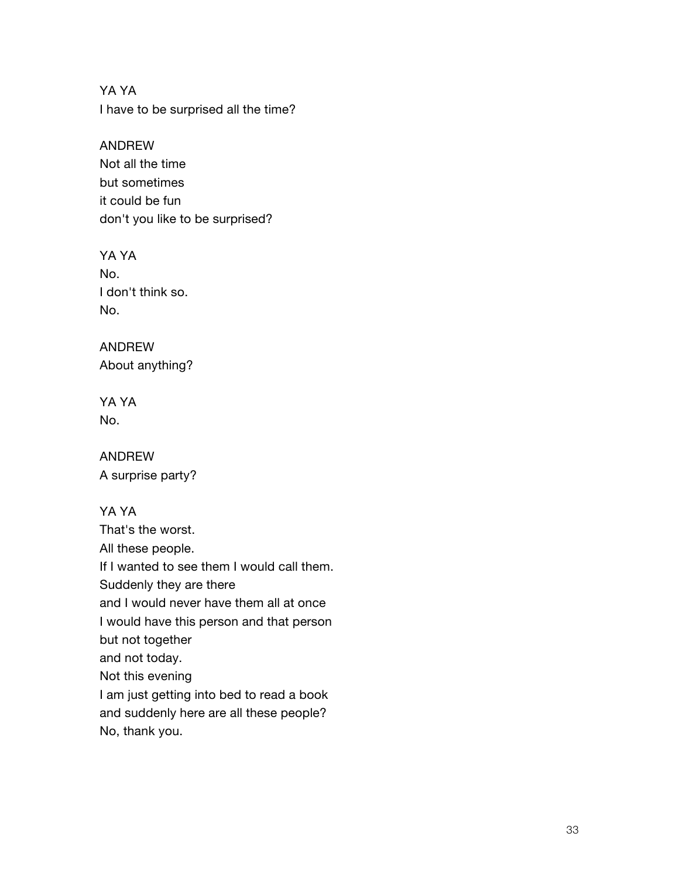YA YA I have to be surprised all the time?

#### ANDREW

Not all the time but sometimes it could be fun don't you like to be surprised?

#### YA YA

No. I don't think so. No.

## ANDREW About anything?

#### YA YA

No.

# ANDREW

A surprise party?

#### YA YA

That's the worst. All these people. If I wanted to see them I would call them. Suddenly they are there and I would never have them all at once I would have this person and that person but not together and not today. Not this evening I am just getting into bed to read a book and suddenly here are all these people? No, thank you.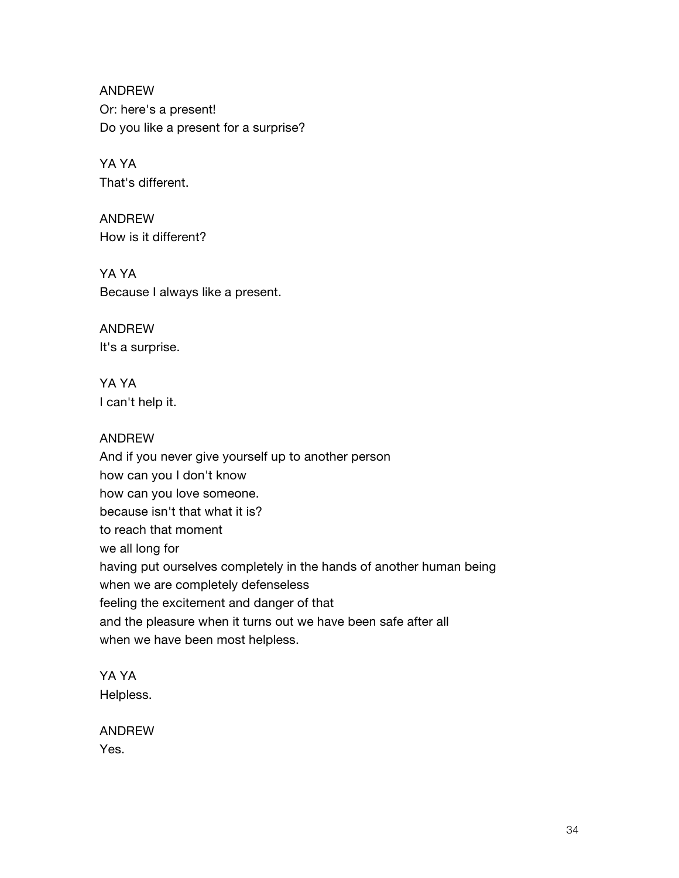ANDREW Or: here's a present! Do you like a present for a surprise?

YA YA That's different.

ANDREW How is it different?

YA YA Because I always like a present.

ANDREW It's a surprise.

YA YA I can't help it.

### ANDREW

And if you never give yourself up to another person how can you I don't know how can you love someone. because isn't that what it is? to reach that moment we all long for having put ourselves completely in the hands of another human being when we are completely defenseless feeling the excitement and danger of that and the pleasure when it turns out we have been safe after all when we have been most helpless.

YA YA Helpless.

ANDREW Yes.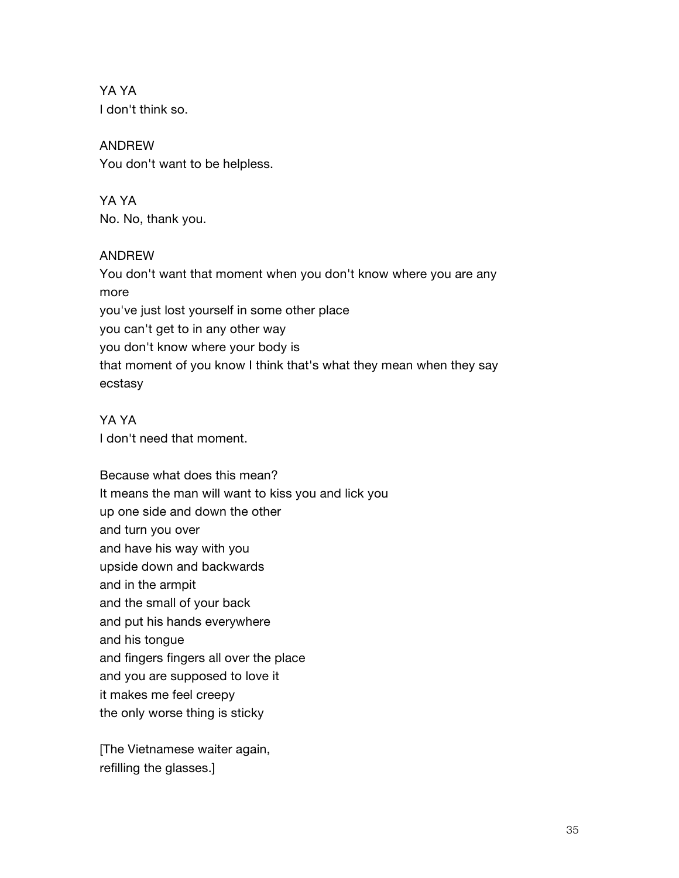YA YA I don't think so.

ANDREW You don't want to be helpless.

YA YA No. No, thank you.

#### ANDREW

You don't want that moment when you don't know where you are any more you've just lost yourself in some other place you can't get to in any other way you don't know where your body is that moment of you know I think that's what they mean when they say ecstasy

#### YA YA

I don't need that moment.

Because what does this mean? It means the man will want to kiss you and lick you up one side and down the other and turn you over and have his way with you upside down and backwards and in the armpit and the small of your back and put his hands everywhere and his tongue and fingers fingers all over the place and you are supposed to love it it makes me feel creepy the only worse thing is sticky

[The Vietnamese waiter again, refilling the glasses.]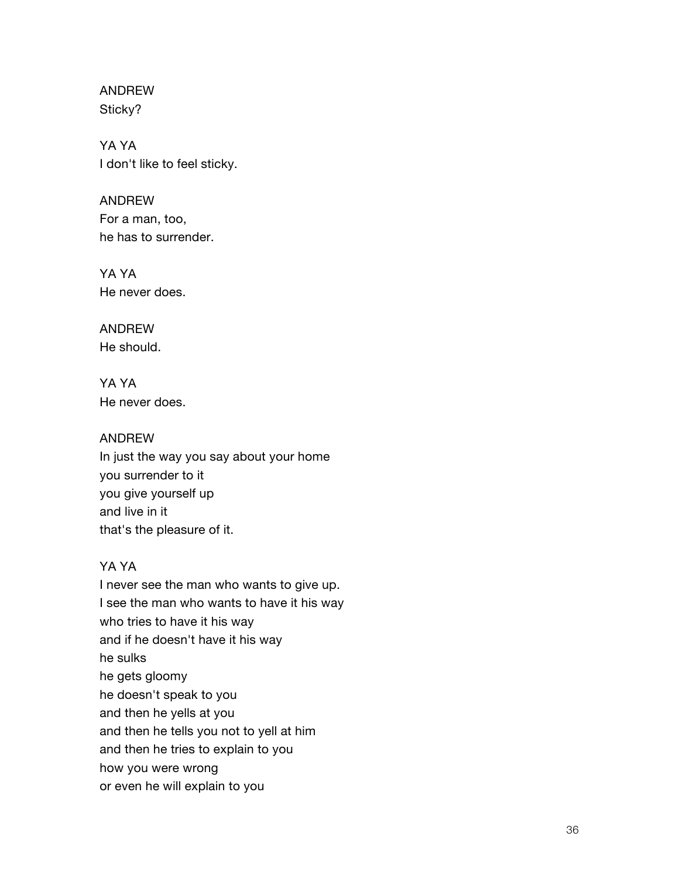ANDREW Sticky?

YA YA I don't like to feel sticky.

ANDREW For a man, too, he has to surrender.

YA YA He never does.

ANDREW He should.

YA YA He never does.

#### ANDREW

In just the way you say about your home you surrender to it you give yourself up and live in it that's the pleasure of it.

### YA YA

I never see the man who wants to give up. I see the man who wants to have it his way who tries to have it his way and if he doesn't have it his way he sulks he gets gloomy he doesn't speak to you and then he yells at you and then he tells you not to yell at him and then he tries to explain to you how you were wrong or even he will explain to you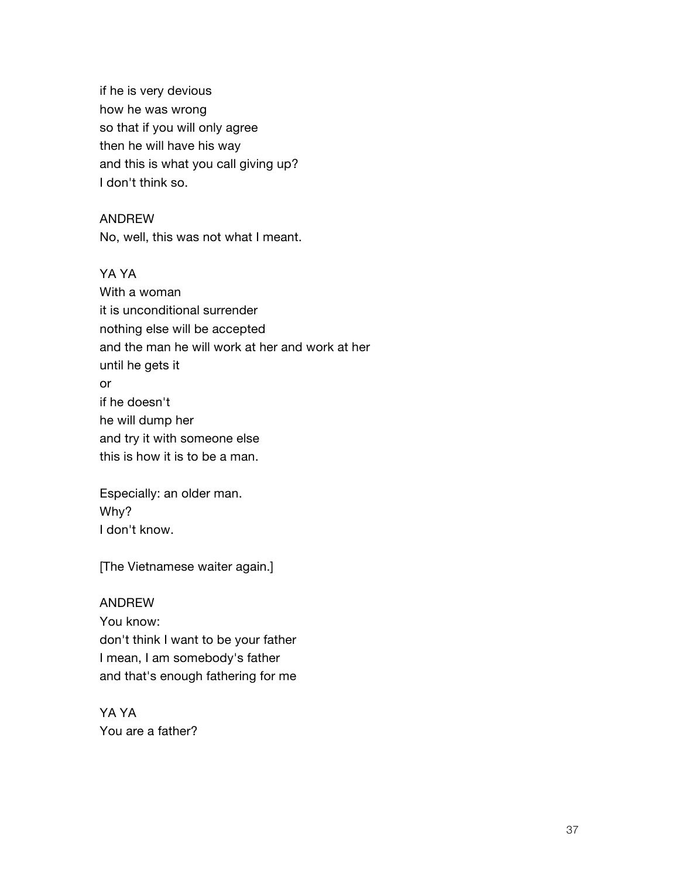if he is very devious how he was wrong so that if you will only agree then he will have his way and this is what you call giving up? I don't think so.

#### ANDREW

No, well, this was not what I meant.

YA YA With a woman it is unconditional surrender nothing else will be accepted and the man he will work at her and work at her until he gets it or if he doesn't he will dump her and try it with someone else this is how it is to be a man.

Especially: an older man. Why? I don't know.

[The Vietnamese waiter again.]

### ANDREW

You know: don't think I want to be your father I mean, I am somebody's father and that's enough fathering for me

YA YA You are a father?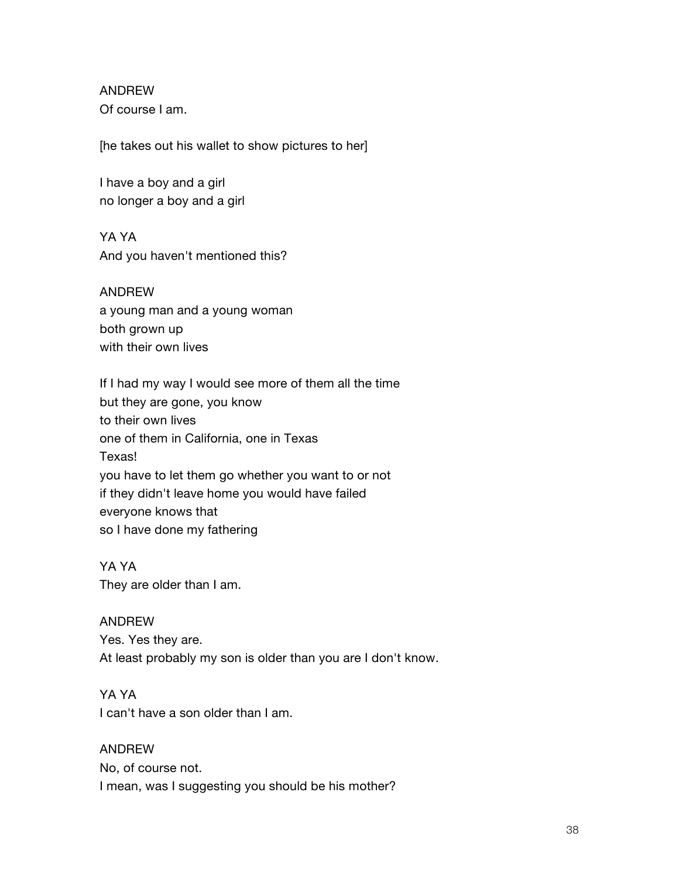Of course I am.

[he takes out his wallet to show pictures to her]

I have a boy and a girl no longer a boy and a girl

YA YA And you haven't mentioned this?

ANDREW

a young man and a young woman both grown up with their own lives

If I had my way I would see more of them all the time but they are gone, you know to their own lives one of them in California, one in Texas Texas! you have to let them go whether you want to or not if they didn't leave home you would have failed everyone knows that so I have done my fathering

YA YA They are older than I am.

ANDREW Yes. Yes they are. At least probably my son is older than you are I don't know.

YA YA I can't have a son older than I am.

ANDREW No, of course not. I mean, was I suggesting you should be his mother?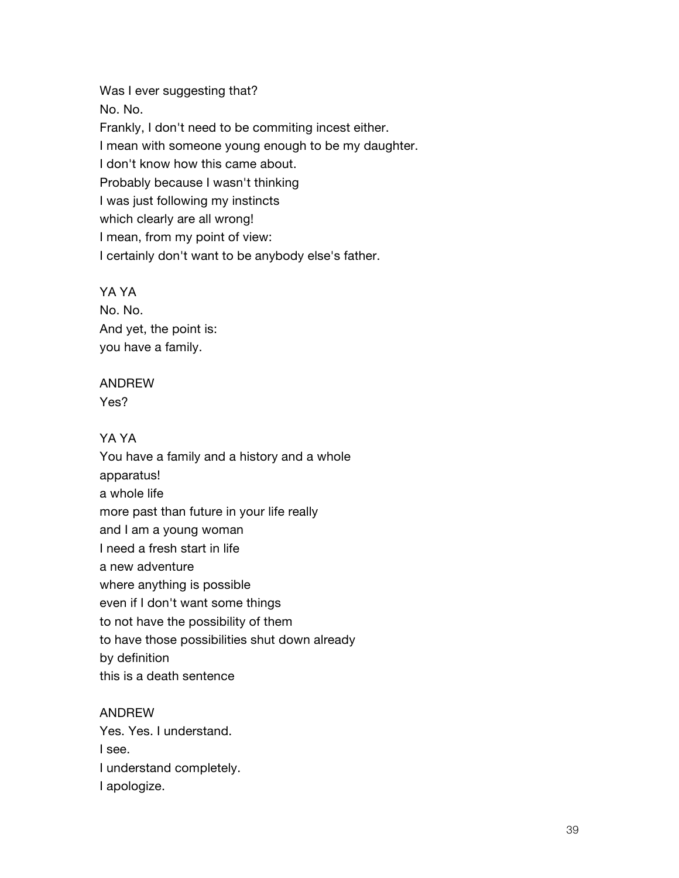Was I ever suggesting that? No. No. Frankly, I don't need to be commiting incest either. I mean with someone young enough to be my daughter. I don't know how this came about. Probably because I wasn't thinking I was just following my instincts which clearly are all wrong! I mean, from my point of view: I certainly don't want to be anybody else's father.

### YA YA

No. No. And yet, the point is: you have a family.

### ANDREW

Yes?

### YA YA

You have a family and a history and a whole apparatus! a whole life more past than future in your life really and I am a young woman I need a fresh start in life a new adventure where anything is possible even if I don't want some things to not have the possibility of them to have those possibilities shut down already by definition this is a death sentence

### ANDREW

Yes. Yes. I understand. I see. I understand completely.

I apologize.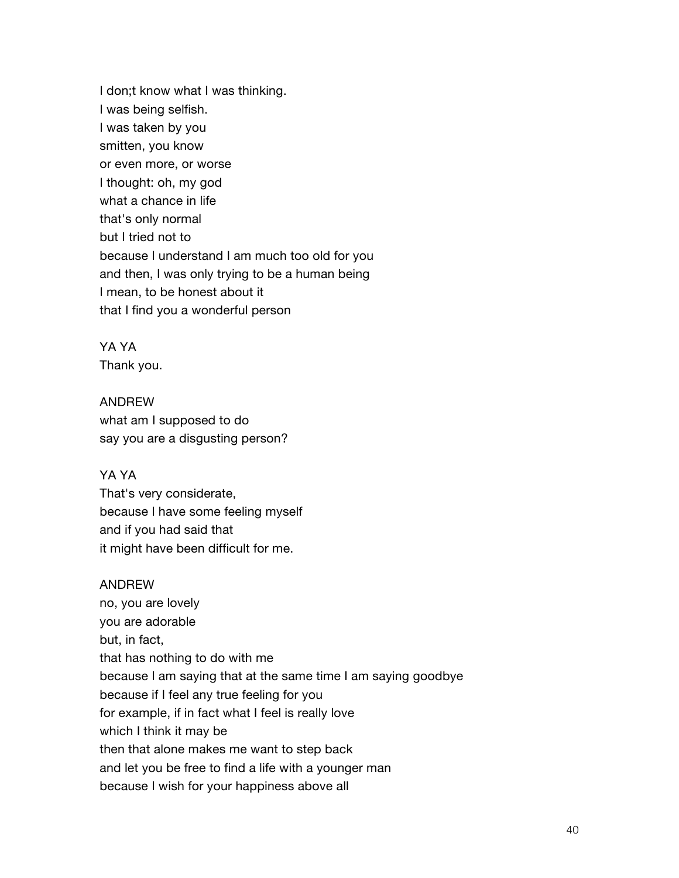I don;t know what I was thinking. I was being selfish. I was taken by you smitten, you know or even more, or worse I thought: oh, my god what a chance in life that's only normal but I tried not to because I understand I am much too old for you and then, I was only trying to be a human being I mean, to be honest about it that I find you a wonderful person

YA YA Thank you.

ANDREW what am I supposed to do say you are a disgusting person?

### YA YA

That's very considerate, because I have some feeling myself and if you had said that it might have been difficult for me.

### ANDREW

no, you are lovely you are adorable but, in fact, that has nothing to do with me because I am saying that at the same time I am saying goodbye because if I feel any true feeling for you for example, if in fact what I feel is really love which I think it may be then that alone makes me want to step back and let you be free to find a life with a younger man because I wish for your happiness above all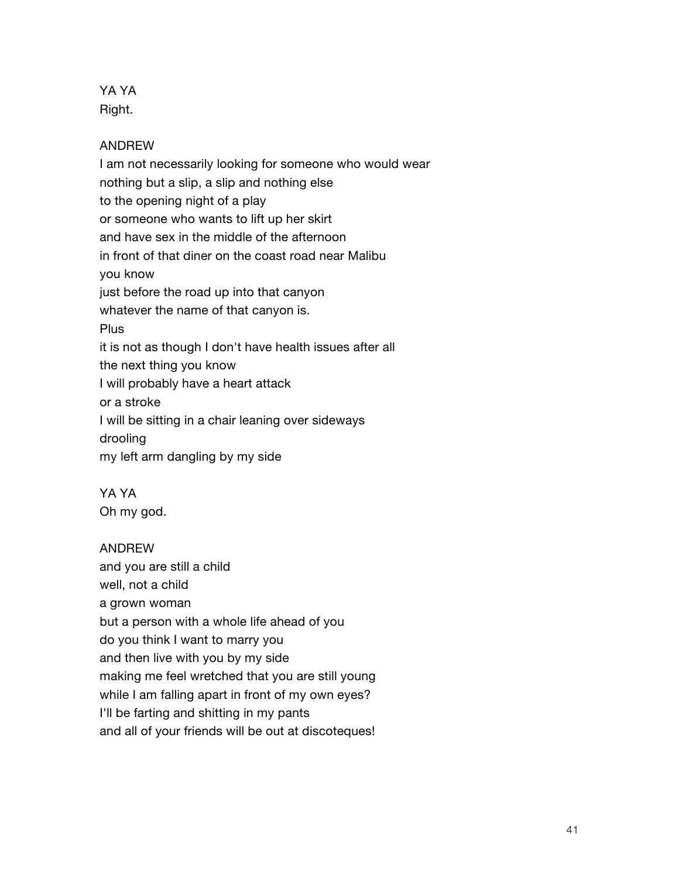YA YA Right.

### ANDREW

I am not necessarily looking for someone who would wear nothing but a slip, a slip and nothing else to the opening night of a play or someone who wants to lift up her skirt and have sex in the middle of the afternoon in front of that diner on the coast road near Malibu you know just before the road up into that canyon whatever the name of that canyon is. Plus it is not as though I don't have health issues after all the next thing you know I will probably have a heart attack or a stroke I will be sitting in a chair leaning over sideways drooling my left arm dangling by my side

YA YA Oh my god.

### ANDREW

and you are still a child well, not a child a grown woman but a person with a whole life ahead of you do you think I want to marry you and then live with you by my side making me feel wretched that you are still young while I am falling apart in front of my own eyes? I'll be farting and shitting in my pants and all of your friends will be out at discoteques!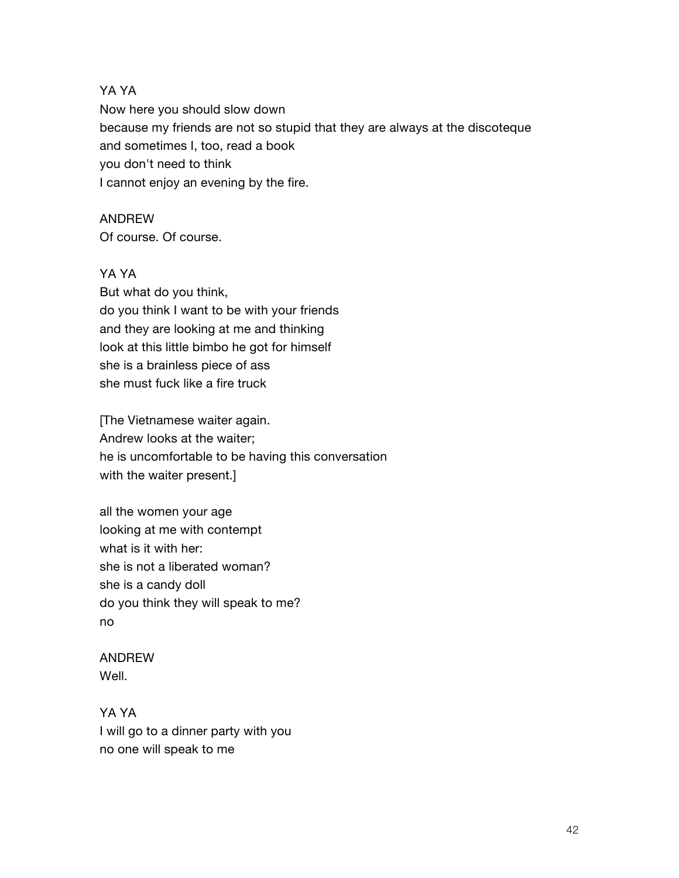YA YA Now here you should slow down because my friends are not so stupid that they are always at the discoteque and sometimes I, too, read a book you don't need to think I cannot enjoy an evening by the fire.

ANDREW

Of course. Of course.

YA YA

But what do you think, do you think I want to be with your friends and they are looking at me and thinking look at this little bimbo he got for himself she is a brainless piece of ass she must fuck like a fire truck

[The Vietnamese waiter again. Andrew looks at the waiter; he is uncomfortable to be having this conversation with the waiter present.]

all the women your age looking at me with contempt what is it with her: she is not a liberated woman? she is a candy doll do you think they will speak to me? no

ANDREW Well.

YA YA I will go to a dinner party with you no one will speak to me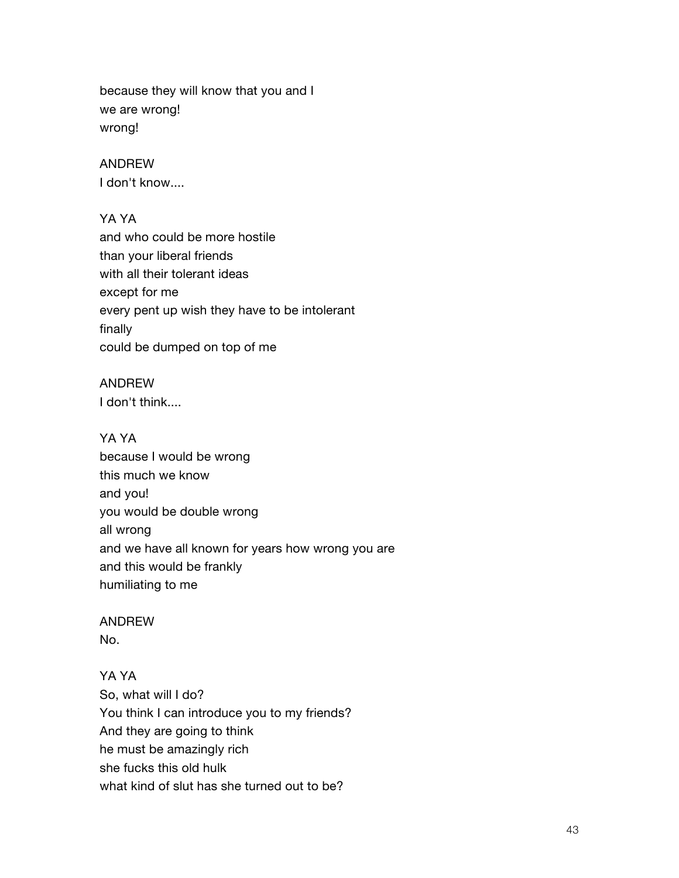because they will know that you and I we are wrong! wrong!

### ANDREW

I don't know....

### YA YA

and who could be more hostile than your liberal friends with all their tolerant ideas except for me every pent up wish they have to be intolerant finally could be dumped on top of me

### ANDREW

I don't think....

#### YA YA

because I would be wrong this much we know and you! you would be double wrong all wrong and we have all known for years how wrong you are and this would be frankly humiliating to me

### ANDREW

No.

### YA YA

So, what will I do? You think I can introduce you to my friends? And they are going to think he must be amazingly rich she fucks this old hulk what kind of slut has she turned out to be?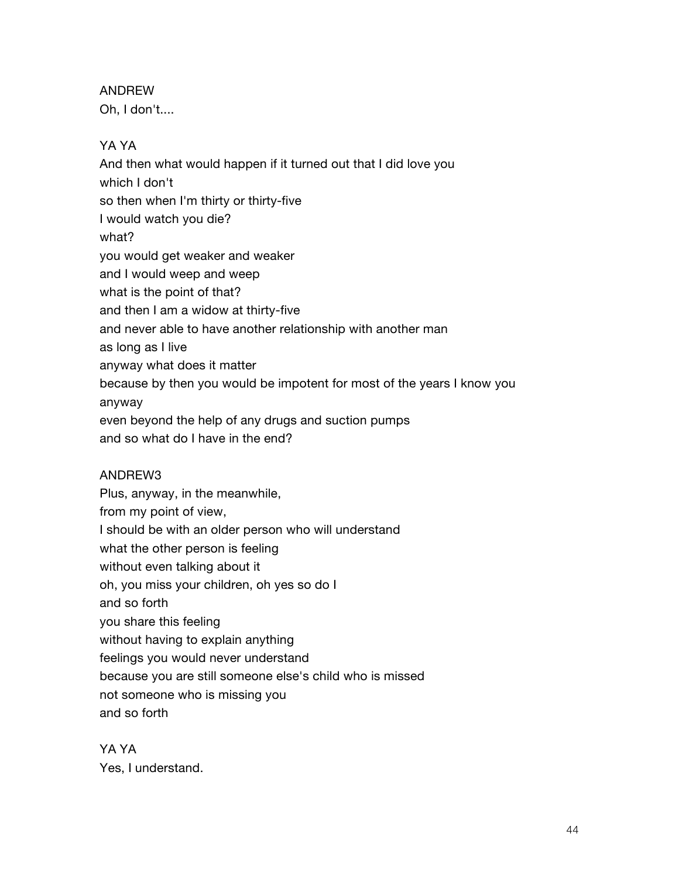Oh, I don't....

### YA YA

And then what would happen if it turned out that I did love you which I don't so then when I'm thirty or thirty-five I would watch you die? what? you would get weaker and weaker and I would weep and weep what is the point of that? and then I am a widow at thirty-five and never able to have another relationship with another man as long as I live anyway what does it matter because by then you would be impotent for most of the years I know you anyway even beyond the help of any drugs and suction pumps and so what do I have in the end?

### ANDREW3

Plus, anyway, in the meanwhile, from my point of view, I should be with an older person who will understand what the other person is feeling without even talking about it oh, you miss your children, oh yes so do I and so forth you share this feeling without having to explain anything feelings you would never understand because you are still someone else's child who is missed not someone who is missing you and so forth

YA YA Yes, I understand.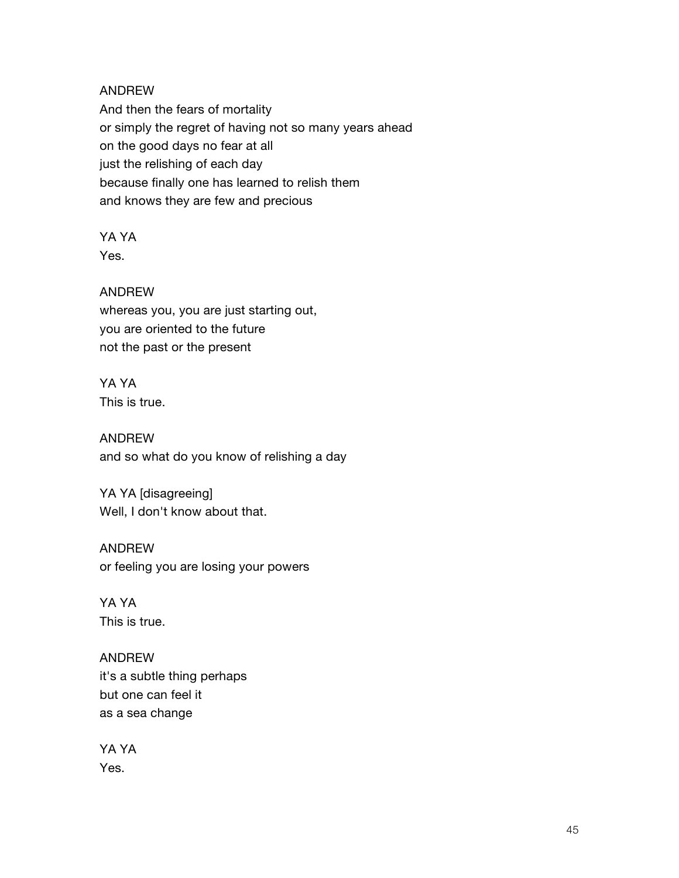And then the fears of mortality or simply the regret of having not so many years ahead on the good days no fear at all just the relishing of each day because finally one has learned to relish them and knows they are few and precious

YA YA Yes.

### ANDREW

whereas you, you are just starting out, you are oriented to the future not the past or the present

### YA YA This is true.

ANDREW and so what do you know of relishing a day

### YA YA [disagreeing] Well, I don't know about that.

### ANDREW

or feeling you are losing your powers

### YA YA This is true.

### ANDREW

it's a subtle thing perhaps but one can feel it as a sea change

YA YA Yes.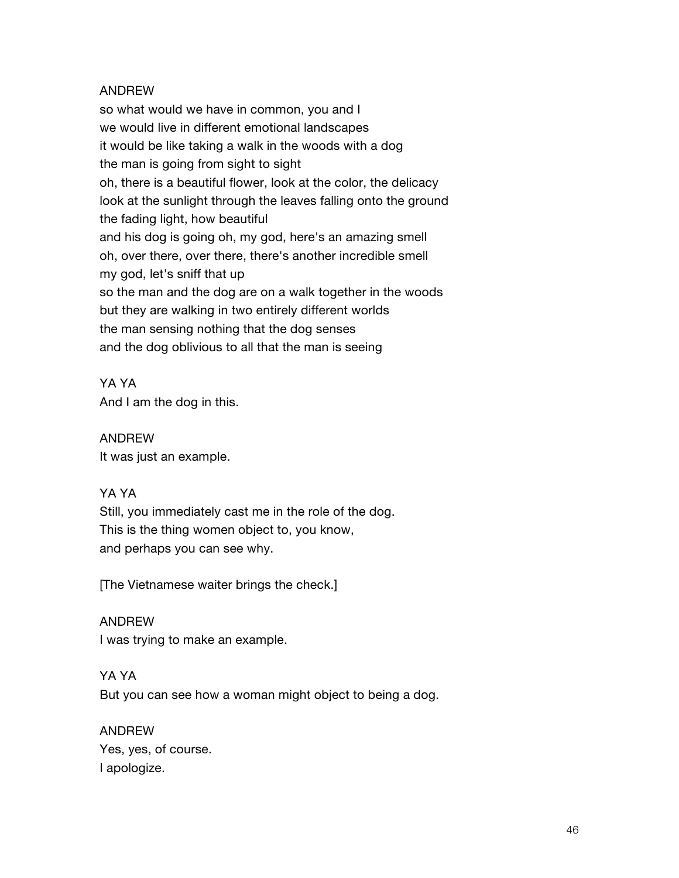so what would we have in common, you and I we would live in different emotional landscapes it would be like taking a walk in the woods with a dog the man is going from sight to sight oh, there is a beautiful flower, look at the color, the delicacy look at the sunlight through the leaves falling onto the ground the fading light, how beautiful and his dog is going oh, my god, here's an amazing smell oh, over there, over there, there's another incredible smell my god, let's sniff that up so the man and the dog are on a walk together in the woods but they are walking in two entirely different worlds the man sensing nothing that the dog senses and the dog oblivious to all that the man is seeing

YA YA And I am the dog in this.

#### ANDREW

It was just an example.

#### YA YA

Still, you immediately cast me in the role of the dog. This is the thing women object to, you know, and perhaps you can see why.

[The Vietnamese waiter brings the check.]

ANDREW I was trying to make an example.

YA YA But you can see how a woman might object to being a dog.

ANDREW Yes, yes, of course. I apologize.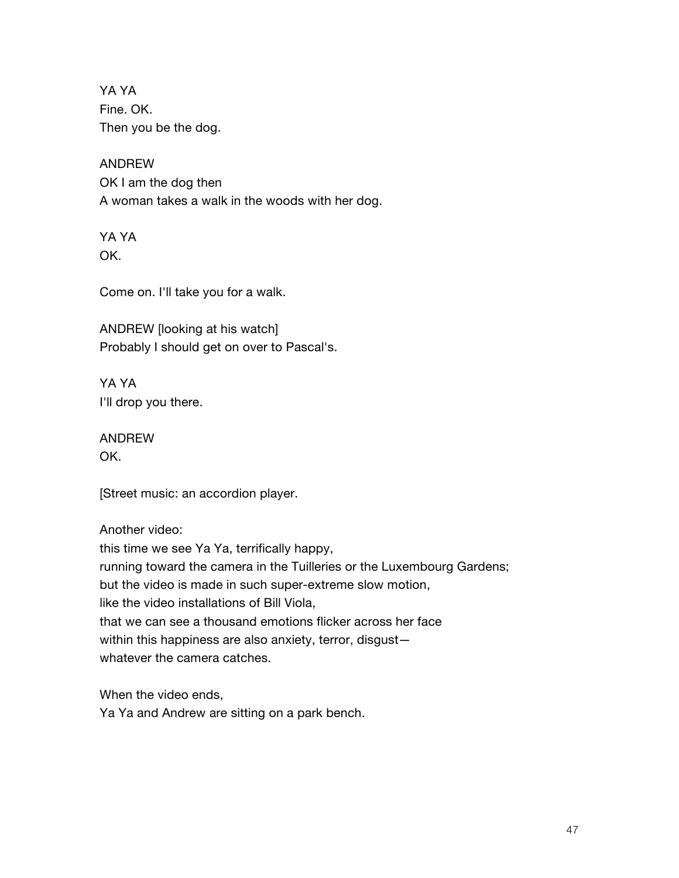YA YA Fine. OK. Then you be the dog.

ANDREW OK I am the dog then A woman takes a walk in the woods with her dog.

YA YA OK.

Come on. I'll take you for a walk.

ANDREW [looking at his watch] Probably I should get on over to Pascal's.

YA YA I'll drop you there.

ANDREW OK.

[Street music: an accordion player.

Another video: this time we see Ya Ya, terrifically happy, running toward the camera in the Tuilleries or the Luxembourg Gardens; but the video is made in such super-extreme slow motion, like the video installations of Bill Viola, that we can see a thousand emotions flicker across her face within this happiness are also anxiety, terror, disgust whatever the camera catches.

When the video ends,

Ya Ya and Andrew are sitting on a park bench.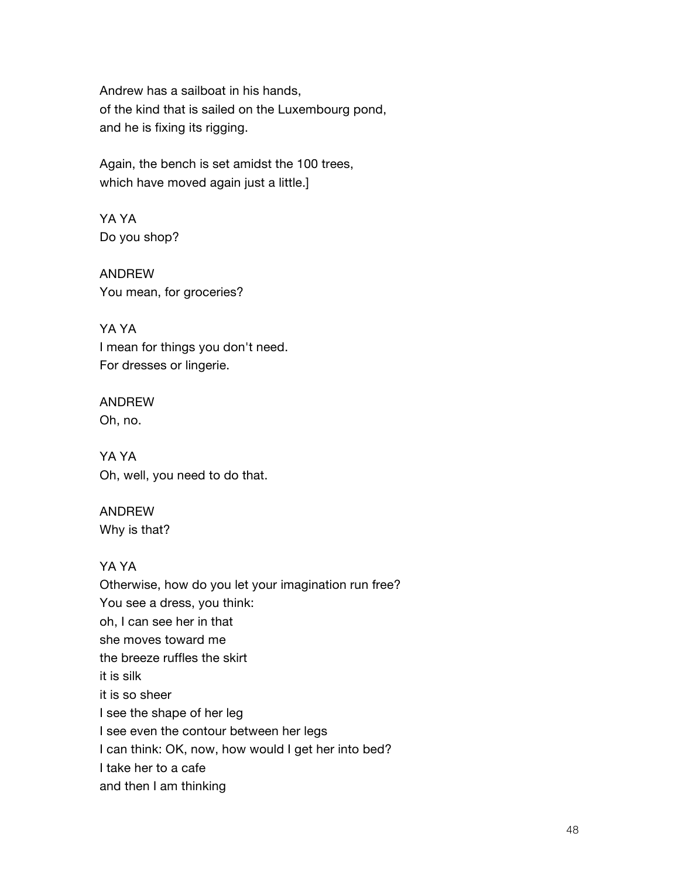Andrew has a sailboat in his hands, of the kind that is sailed on the Luxembourg pond, and he is fixing its rigging.

Again, the bench is set amidst the 100 trees, which have moved again just a little.]

YA YA Do you shop?

ANDREW You mean, for groceries?

YA YA I mean for things you don't need. For dresses or lingerie.

### ANDREW Oh, no.

YA YA Oh, well, you need to do that.

ANDREW Why is that?

# YA YA Otherwise, how do you let your imagination run free? You see a dress, you think: oh, I can see her in that she moves toward me the breeze ruffles the skirt it is silk it is so sheer I see the shape of her leg I see even the contour between her legs I can think: OK, now, how would I get her into bed? I take her to a cafe and then I am thinking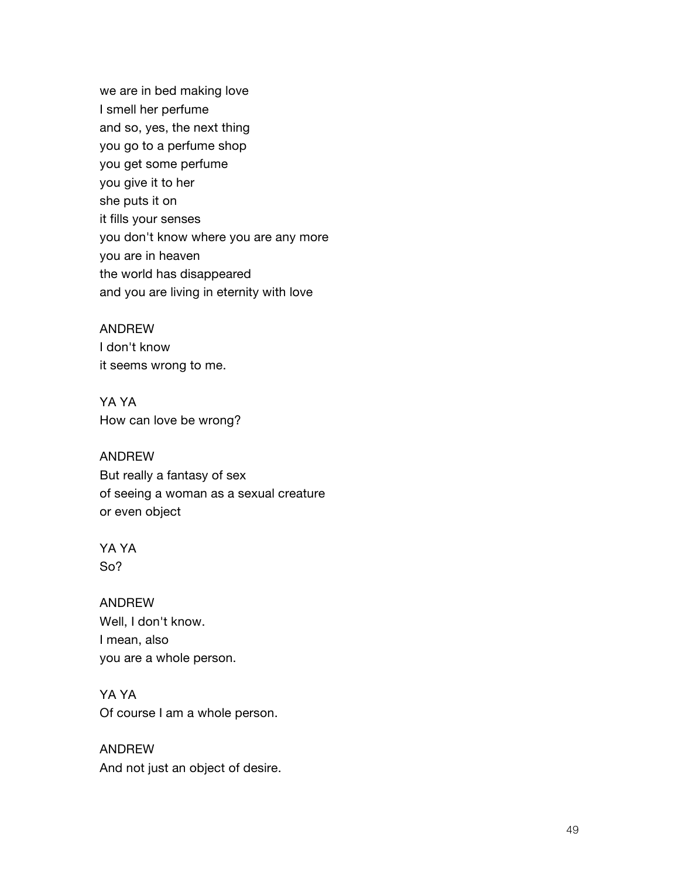we are in bed making love I smell her perfume and so, yes, the next thing you go to a perfume shop you get some perfume you give it to her she puts it on it fills your senses you don't know where you are any more you are in heaven the world has disappeared and you are living in eternity with love

ANDREW I don't know it seems wrong to me.

YA YA How can love be wrong?

ANDREW But really a fantasy of sex of seeing a woman as a sexual creature or even object

### YA YA So?

ANDREW Well, I don't know. I mean, also you are a whole person.

# YA YA

Of course I am a whole person.

ANDREW And not just an object of desire.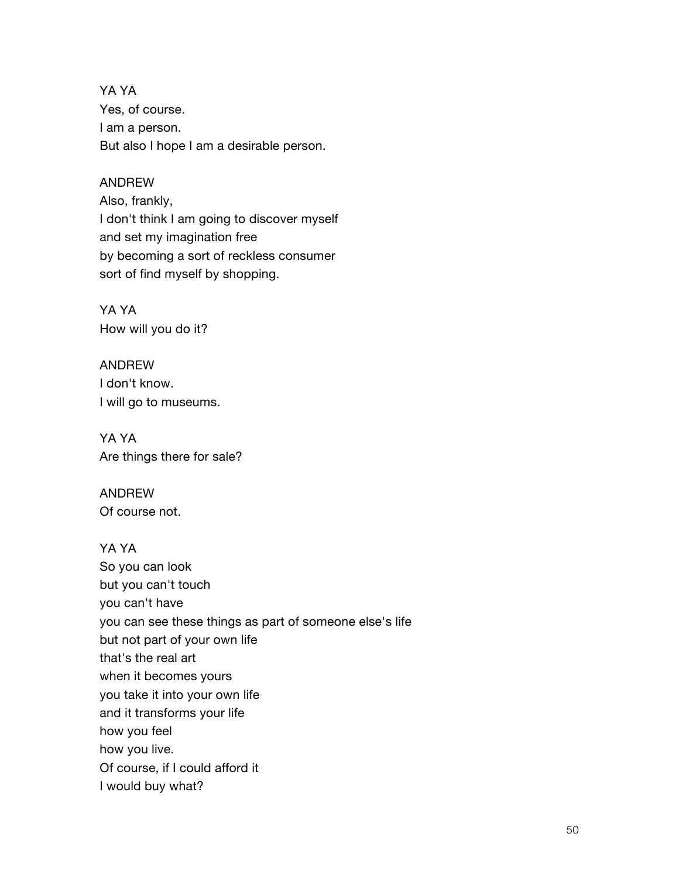YA YA Yes, of course. I am a person. But also I hope I am a desirable person.

#### ANDREW

Also, frankly, I don't think I am going to discover myself and set my imagination free by becoming a sort of reckless consumer sort of find myself by shopping.

YA YA How will you do it?

ANDREW I don't know. I will go to museums.

YA YA Are things there for sale?

ANDREW Of course not.

# YA YA So you can look but you can't touch you can't have you can see these things as part of someone else's life but not part of your own life that's the real art when it becomes yours you take it into your own life and it transforms your life how you feel how you live. Of course, if I could afford it I would buy what?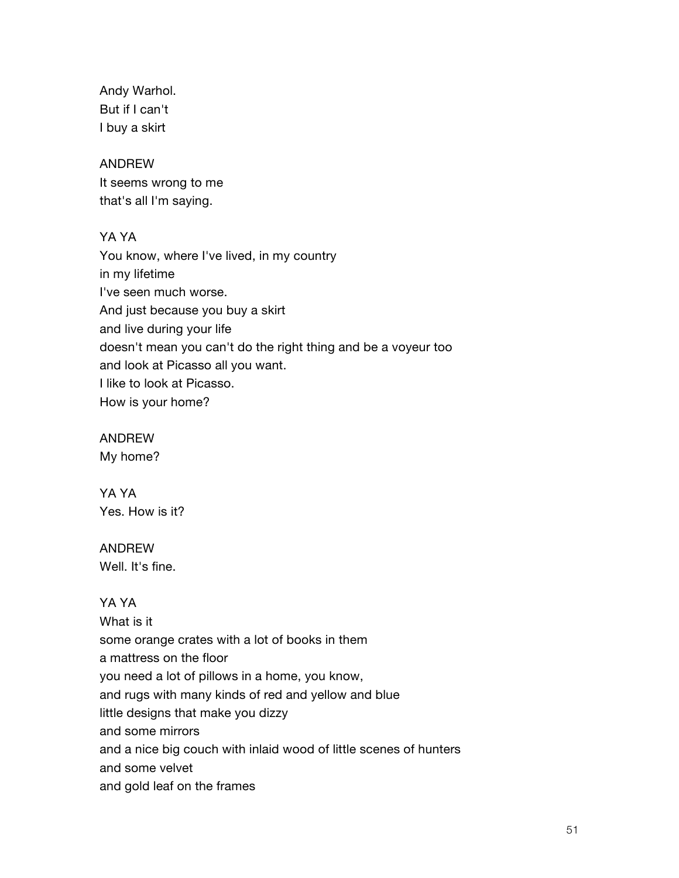Andy Warhol. But if I can't I buy a skirt

ANDREW It seems wrong to me that's all I'm saying.

#### YA YA

You know, where I've lived, in my country in my lifetime I've seen much worse. And just because you buy a skirt and live during your life doesn't mean you can't do the right thing and be a voyeur too and look at Picasso all you want. I like to look at Picasso. How is your home?

ANDREW My home?

YA YA Yes. How is it?

#### ANDREW

Well. It's fine.

#### YA YA

What is it some orange crates with a lot of books in them a mattress on the floor you need a lot of pillows in a home, you know, and rugs with many kinds of red and yellow and blue little designs that make you dizzy and some mirrors and a nice big couch with inlaid wood of little scenes of hunters and some velvet and gold leaf on the frames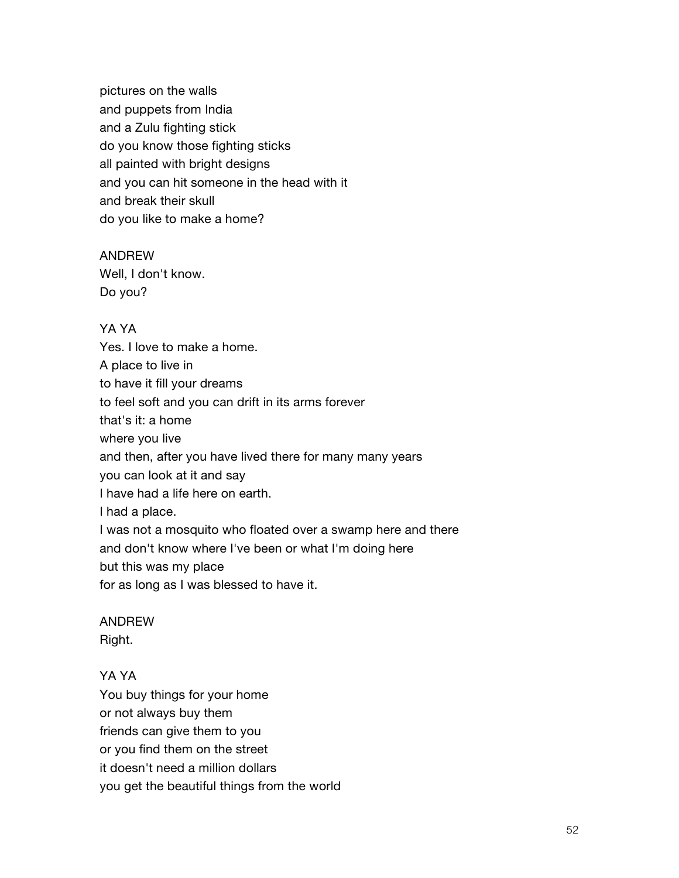pictures on the walls and puppets from India and a Zulu fighting stick do you know those fighting sticks all painted with bright designs and you can hit someone in the head with it and break their skull do you like to make a home?

#### ANDREW

Well, I don't know. Do you?

### YA YA

Yes. I love to make a home. A place to live in to have it fill your dreams to feel soft and you can drift in its arms forever that's it: a home where you live and then, after you have lived there for many many years you can look at it and say I have had a life here on earth. I had a place. I was not a mosquito who floated over a swamp here and there and don't know where I've been or what I'm doing here but this was my place for as long as I was blessed to have it.

### ANDREW

Right.

### YA YA

You buy things for your home or not always buy them friends can give them to you or you find them on the street it doesn't need a million dollars you get the beautiful things from the world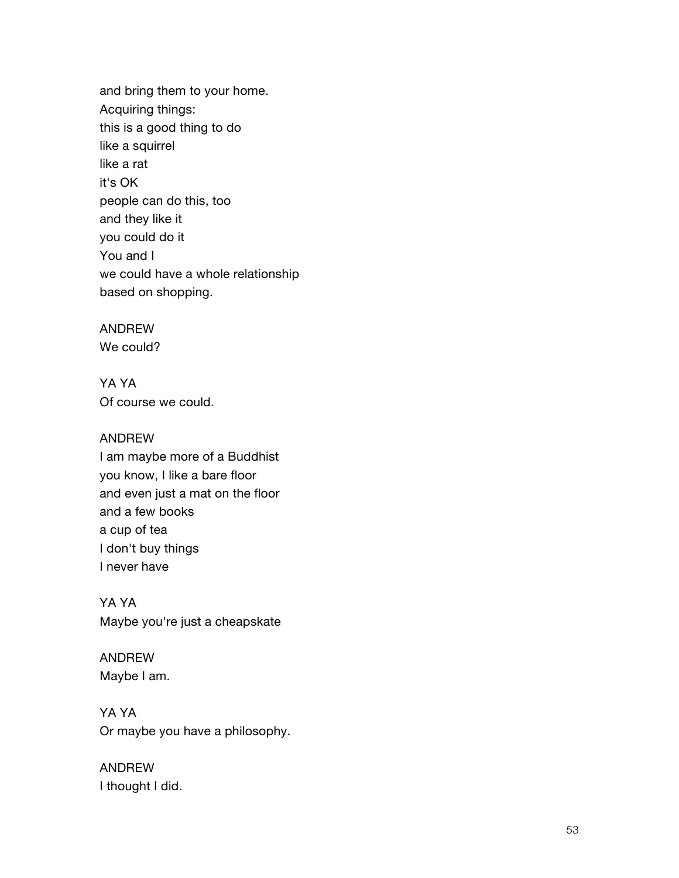and bring them to your home. Acquiring things: this is a good thing to do like a squirrel like a rat it's OK people can do this, too and they like it you could do it You and I we could have a whole relationship based on shopping.

### ANDREW

We could?

YA YA Of course we could.

#### ANDREW

I am maybe more of a Buddhist you know, I like a bare floor and even just a mat on the floor and a few books a cup of tea I don't buy things I never have

YA YA Maybe you're just a cheapskate

ANDREW Maybe I am.

YA YA Or maybe you have a philosophy.

ANDREW I thought I did.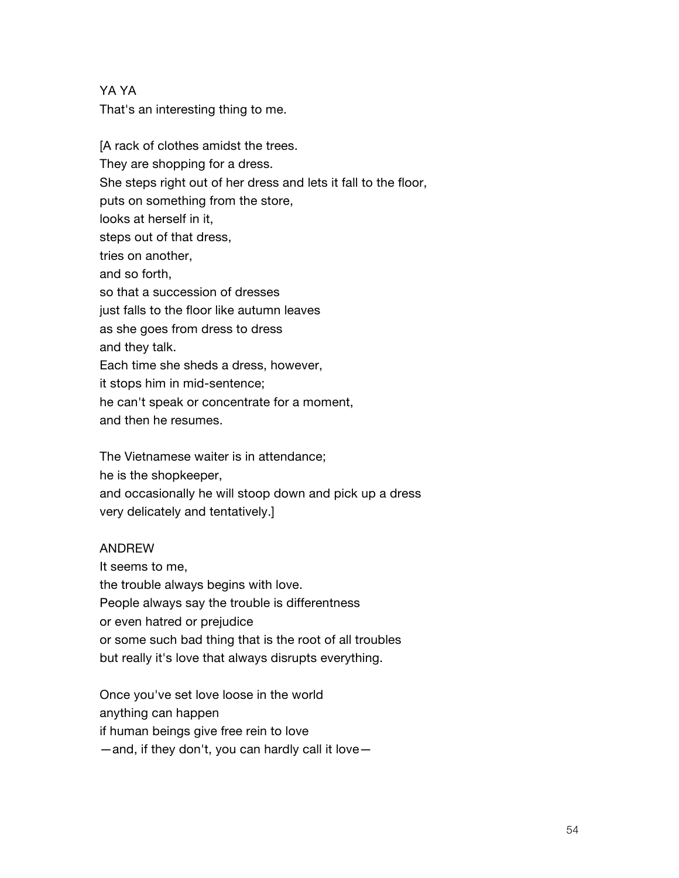YA YA

That's an interesting thing to me.

[A rack of clothes amidst the trees. They are shopping for a dress. She steps right out of her dress and lets it fall to the floor, puts on something from the store, looks at herself in it, steps out of that dress, tries on another, and so forth, so that a succession of dresses just falls to the floor like autumn leaves as she goes from dress to dress and they talk. Each time she sheds a dress, however, it stops him in mid-sentence; he can't speak or concentrate for a moment, and then he resumes.

The Vietnamese waiter is in attendance; he is the shopkeeper, and occasionally he will stoop down and pick up a dress very delicately and tentatively.]

### ANDREW

It seems to me, the trouble always begins with love. People always say the trouble is differentness or even hatred or prejudice or some such bad thing that is the root of all troubles but really it's love that always disrupts everything.

Once you've set love loose in the world anything can happen if human beings give free rein to love —and, if they don't, you can hardly call it love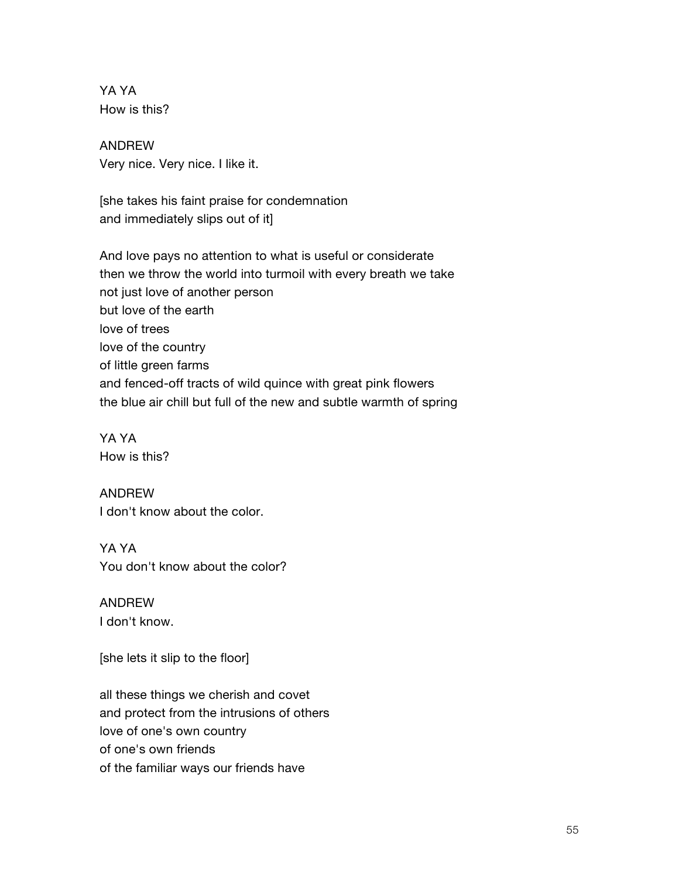YA YA How is this?

ANDREW Very nice. Very nice. I like it.

[she takes his faint praise for condemnation and immediately slips out of it]

And love pays no attention to what is useful or considerate then we throw the world into turmoil with every breath we take not just love of another person but love of the earth love of trees love of the country of little green farms and fenced-off tracts of wild quince with great pink flowers the blue air chill but full of the new and subtle warmth of spring

YA YA How is this?

ANDREW I don't know about the color.

YA YA You don't know about the color?

ANDREW I don't know.

[she lets it slip to the floor]

all these things we cherish and covet and protect from the intrusions of others love of one's own country of one's own friends of the familiar ways our friends have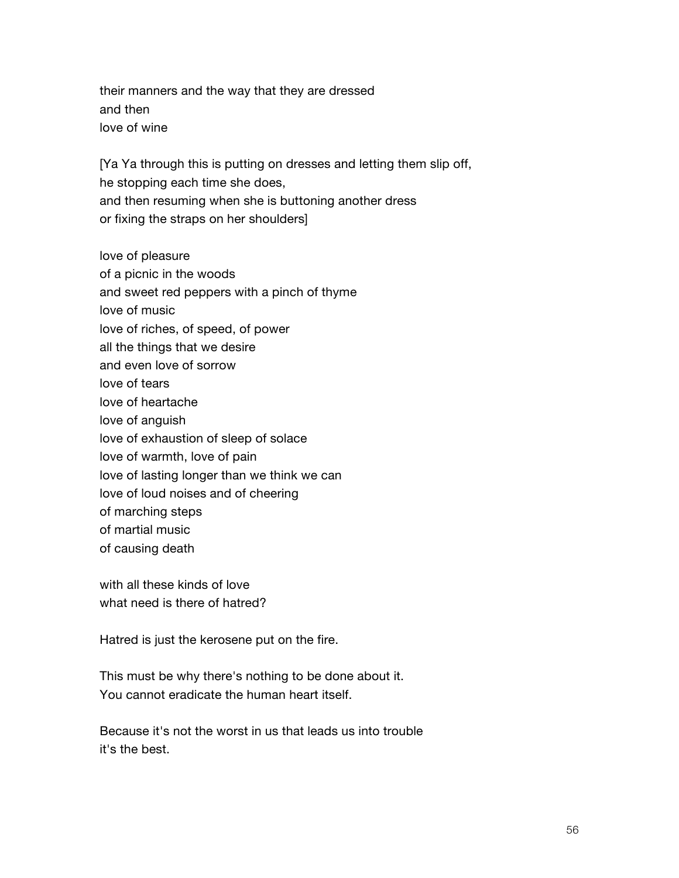their manners and the way that they are dressed and then love of wine

[Ya Ya through this is putting on dresses and letting them slip off, he stopping each time she does, and then resuming when she is buttoning another dress or fixing the straps on her shoulders]

love of pleasure of a picnic in the woods and sweet red peppers with a pinch of thyme love of music love of riches, of speed, of power all the things that we desire and even love of sorrow love of tears love of heartache love of anguish love of exhaustion of sleep of solace love of warmth, love of pain love of lasting longer than we think we can love of loud noises and of cheering of marching steps of martial music of causing death

with all these kinds of love what need is there of hatred?

Hatred is just the kerosene put on the fire.

This must be why there's nothing to be done about it. You cannot eradicate the human heart itself.

Because it's not the worst in us that leads us into trouble it's the best.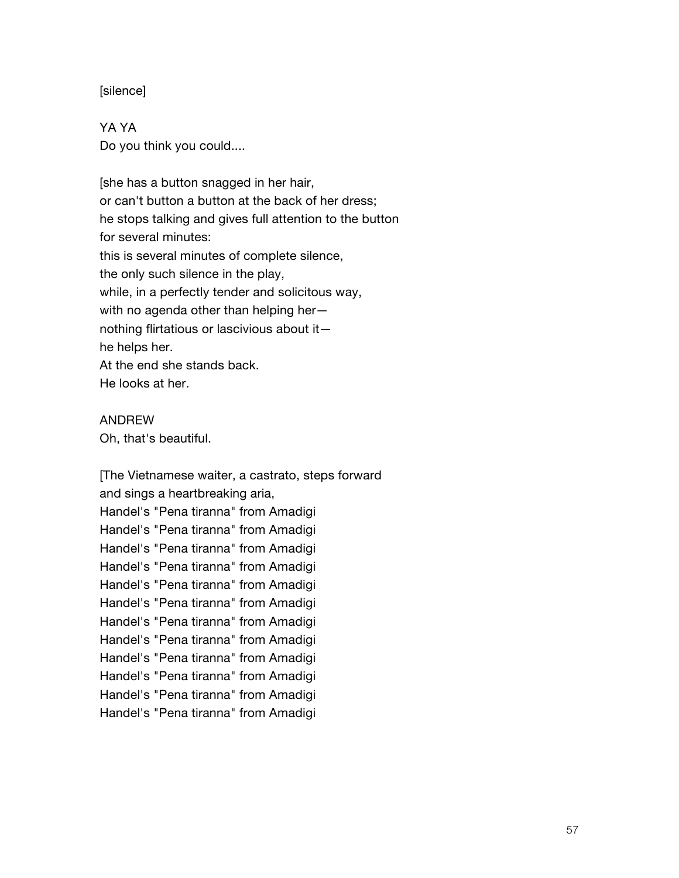[silence]

YA YA Do you think you could....

[she has a button snagged in her hair, or can't button a button at the back of her dress; he stops talking and gives full attention to the button for several minutes: this is several minutes of complete silence, the only such silence in the play, while, in a perfectly tender and solicitous way, with no agenda other than helping her nothing flirtatious or lascivious about it he helps her. At the end she stands back. He looks at her.

ANDREW

Oh, that's beautiful.

[The Vietnamese waiter, a castrato, steps forward and sings a heartbreaking aria, Handel's "Pena tiranna" from Amadigi Handel's "Pena tiranna" from Amadigi Handel's "Pena tiranna" from Amadigi Handel's "Pena tiranna" from Amadigi Handel's "Pena tiranna" from Amadigi Handel's "Pena tiranna" from Amadigi Handel's "Pena tiranna" from Amadigi Handel's "Pena tiranna" from Amadigi Handel's "Pena tiranna" from Amadigi Handel's "Pena tiranna" from Amadigi Handel's "Pena tiranna" from Amadigi Handel's "Pena tiranna" from Amadigi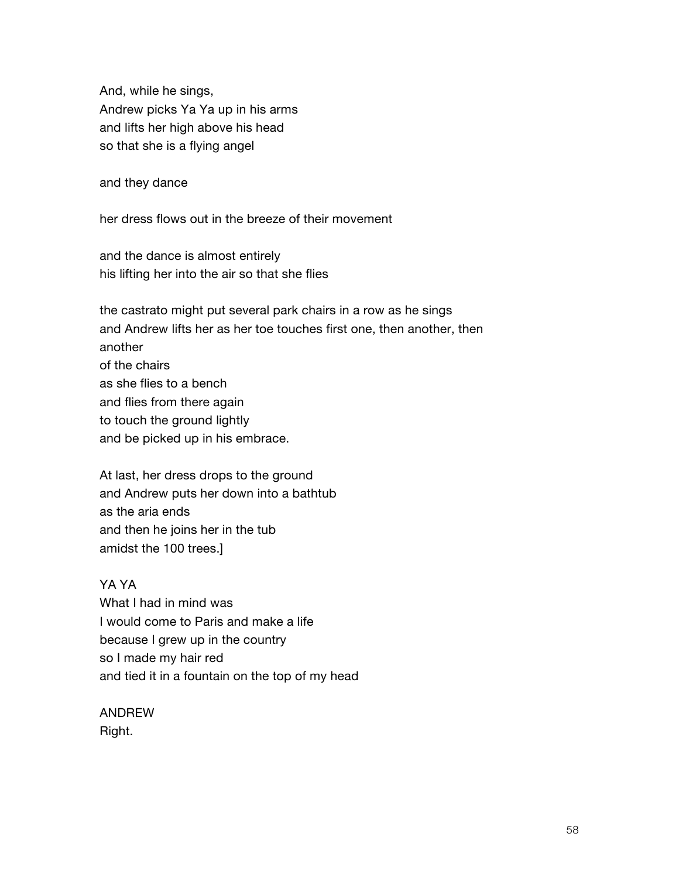And, while he sings, Andrew picks Ya Ya up in his arms and lifts her high above his head so that she is a flying angel

and they dance

her dress flows out in the breeze of their movement

and the dance is almost entirely his lifting her into the air so that she flies

the castrato might put several park chairs in a row as he sings and Andrew lifts her as her toe touches first one, then another, then another of the chairs as she flies to a bench and flies from there again to touch the ground lightly and be picked up in his embrace.

At last, her dress drops to the ground and Andrew puts her down into a bathtub as the aria ends and then he joins her in the tub amidst the 100 trees.]

YA YA What I had in mind was I would come to Paris and make a life because I grew up in the country so I made my hair red and tied it in a fountain on the top of my head

ANDREW Right.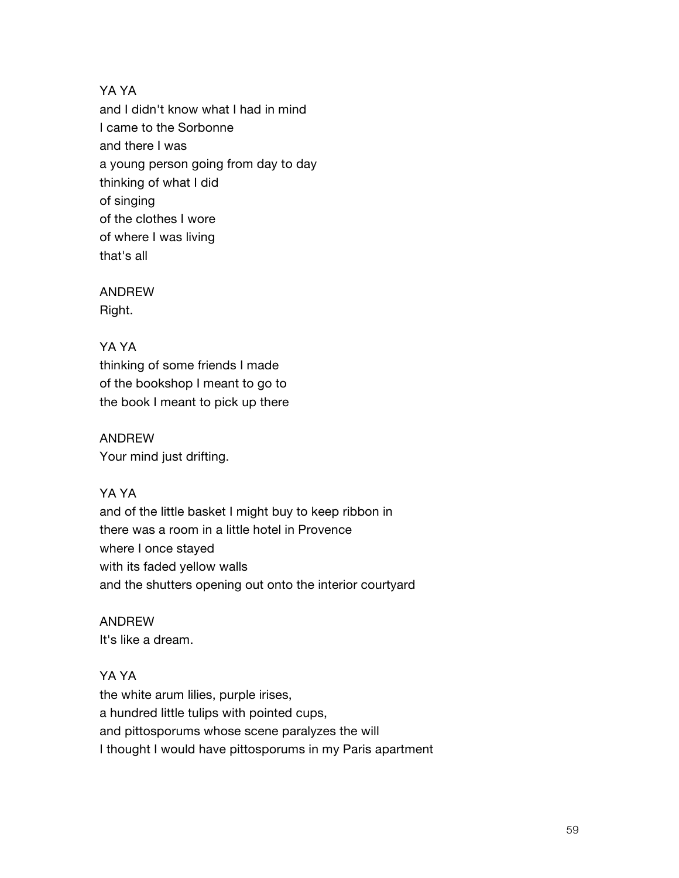YA YA and I didn't know what I had in mind I came to the Sorbonne and there I was a young person going from day to day thinking of what I did of singing of the clothes I wore of where I was living that's all

ANDREW

Right.

YA YA thinking of some friends I made

of the bookshop I meant to go to the book I meant to pick up there

ANDREW Your mind just drifting.

### YA YA

and of the little basket I might buy to keep ribbon in there was a room in a little hotel in Provence where I once stayed with its faded yellow walls and the shutters opening out onto the interior courtyard

ANDREW It's like a dream.

### YA YA

the white arum lilies, purple irises, a hundred little tulips with pointed cups, and pittosporums whose scene paralyzes the will I thought I would have pittosporums in my Paris apartment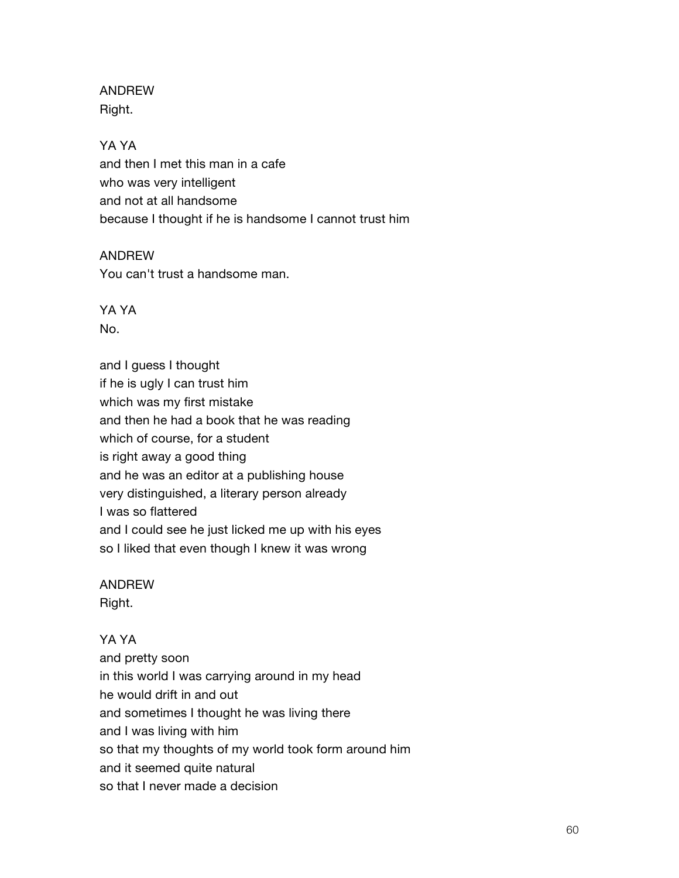ANDREW Right.

### YA YA

and then I met this man in a cafe who was very intelligent and not at all handsome because I thought if he is handsome I cannot trust him

### ANDREW

You can't trust a handsome man.

YA YA No.

and I guess I thought if he is ugly I can trust him which was my first mistake and then he had a book that he was reading which of course, for a student is right away a good thing and he was an editor at a publishing house very distinguished, a literary person already I was so flattered and I could see he just licked me up with his eyes so I liked that even though I knew it was wrong

ANDREW

Right.

### YA YA

and pretty soon in this world I was carrying around in my head he would drift in and out and sometimes I thought he was living there and I was living with him so that my thoughts of my world took form around him and it seemed quite natural so that I never made a decision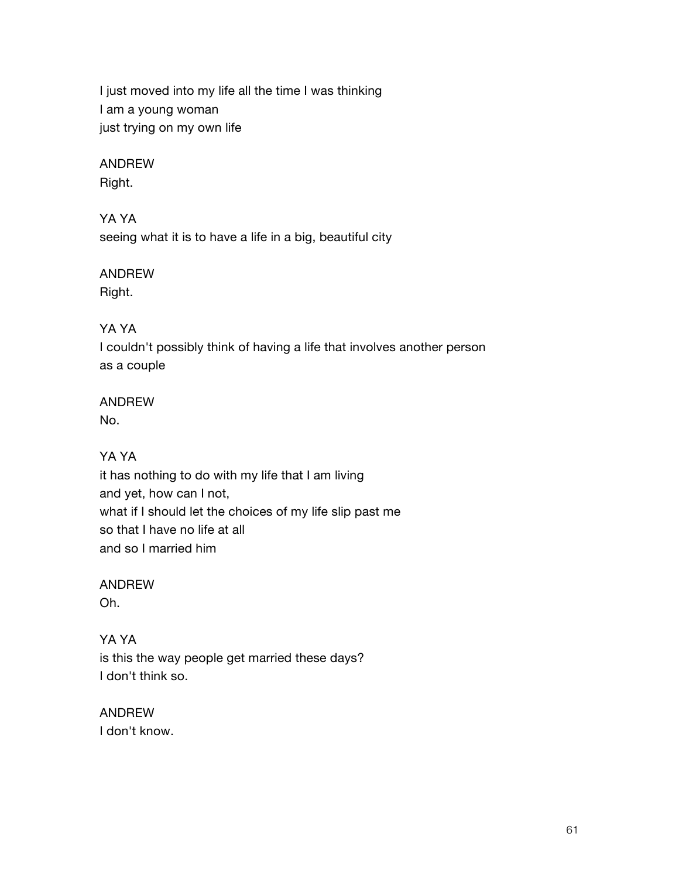I just moved into my life all the time I was thinking I am a young woman just trying on my own life

## ANDREW

Right.

## YA YA

seeing what it is to have a life in a big, beautiful city

# ANDREW

Right.

### YA YA

I couldn't possibly think of having a life that involves another person as a couple

# ANDREW

No.

### YA YA

it has nothing to do with my life that I am living and yet, how can I not, what if I should let the choices of my life slip past me so that I have no life at all and so I married him

### ANDREW

Oh.

### YA YA

is this the way people get married these days? I don't think so.

## ANDREW I don't know.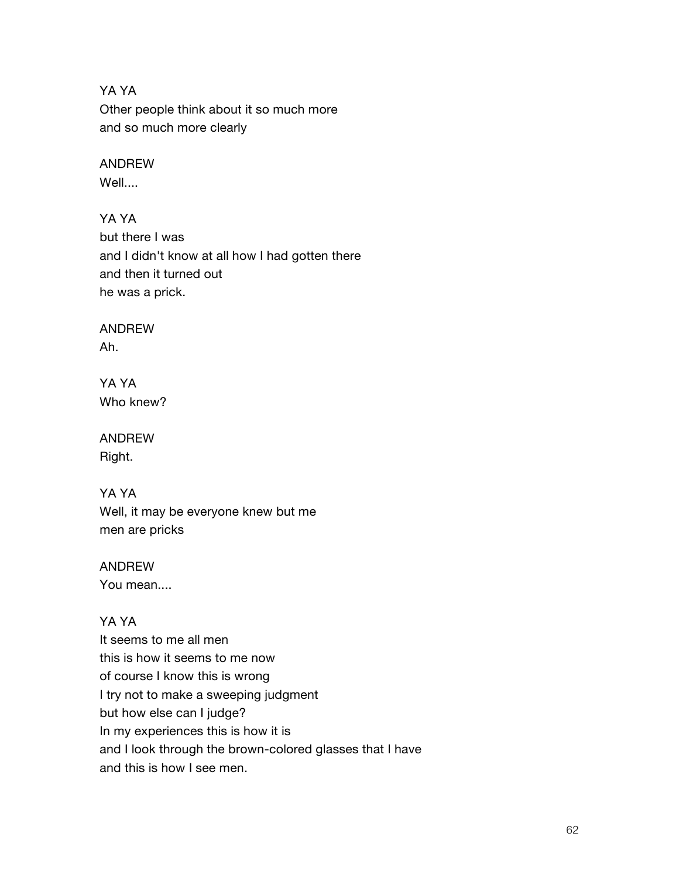YA YA Other people think about it so much more and so much more clearly

# ANDREW

Well....

### YA YA

but there I was and I didn't know at all how I had gotten there and then it turned out he was a prick.

### ANDREW

Ah.

YA YA Who knew?

ANDREW Right.

YA YA Well, it may be everyone knew but me men are pricks

### ANDREW You mean....

### YA YA

It seems to me all men this is how it seems to me now of course I know this is wrong I try not to make a sweeping judgment but how else can I judge? In my experiences this is how it is and I look through the brown-colored glasses that I have and this is how I see men.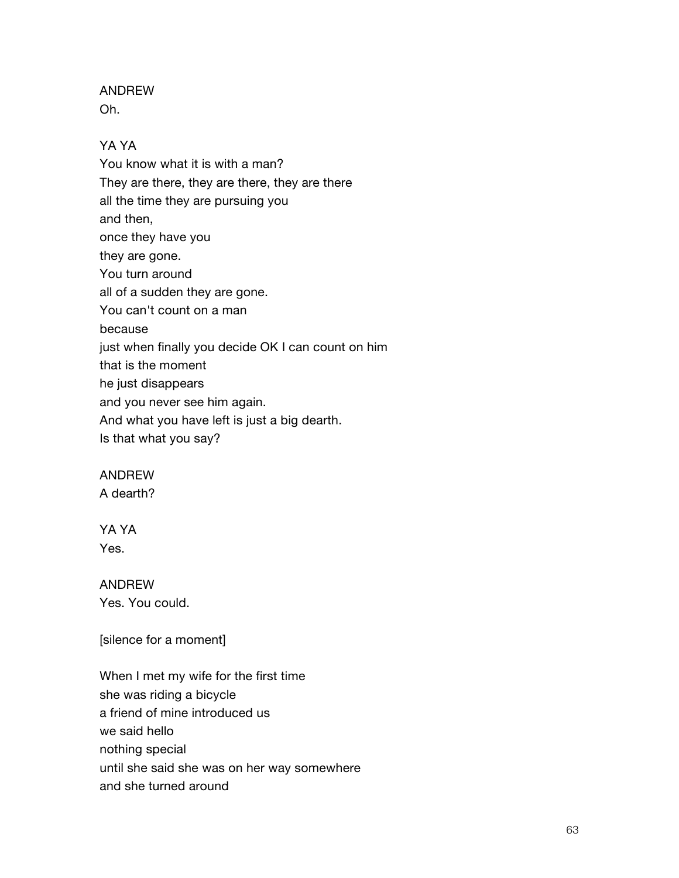Oh.

### YA YA

You know what it is with a man? They are there, they are there, they are there all the time they are pursuing you and then, once they have you they are gone. You turn around all of a sudden they are gone. You can't count on a man because just when finally you decide OK I can count on him that is the moment he just disappears and you never see him again. And what you have left is just a big dearth.

Is that what you say?

### ANDREW

A dearth?

#### YA YA Yes.

ANDREW Yes. You could.

[silence for a moment]

When I met my wife for the first time she was riding a bicycle a friend of mine introduced us we said hello nothing special until she said she was on her way somewhere and she turned around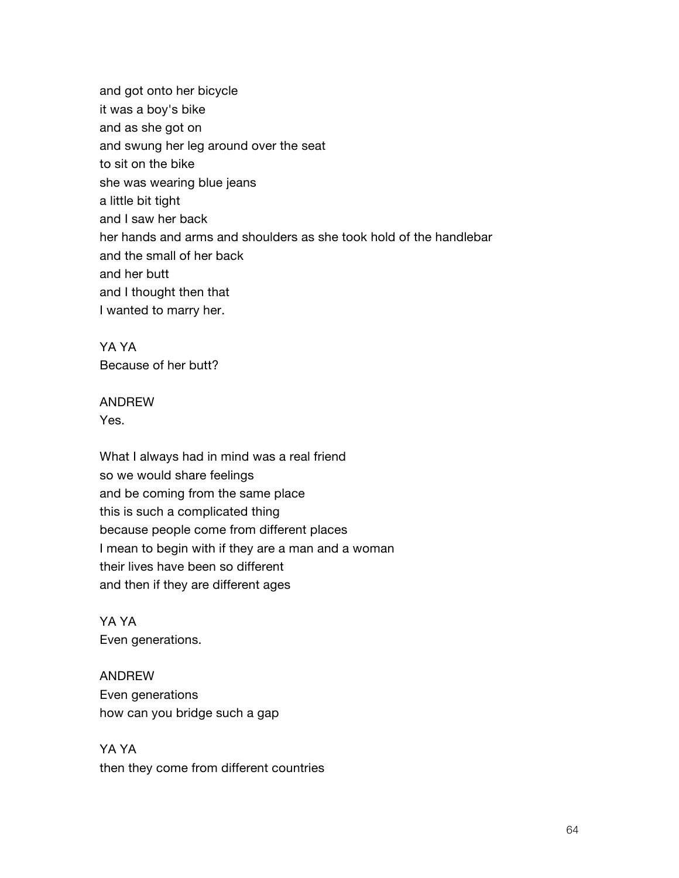and got onto her bicycle it was a boy's bike and as she got on and swung her leg around over the seat to sit on the bike she was wearing blue jeans a little bit tight and I saw her back her hands and arms and shoulders as she took hold of the handlebar and the small of her back and her butt and I thought then that I wanted to marry her.

YA YA Because of her butt?

### ANDREW

Yes.

What I always had in mind was a real friend so we would share feelings and be coming from the same place this is such a complicated thing because people come from different places I mean to begin with if they are a man and a woman their lives have been so different and then if they are different ages

YA YA Even generations.

ANDREW Even generations how can you bridge such a gap

YA YA then they come from different countries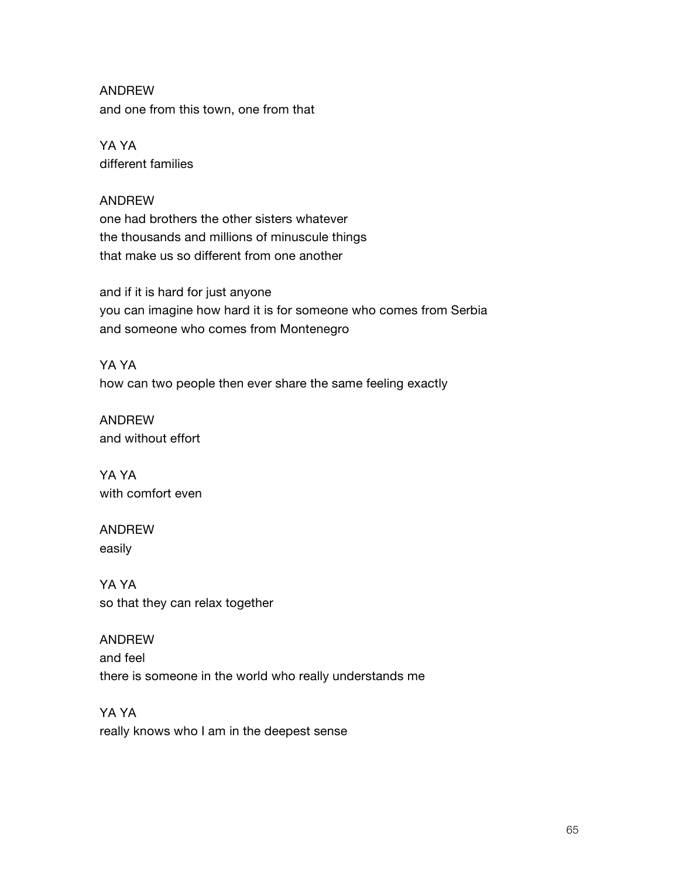ANDREW and one from this town, one from that

YA YA different families

### ANDREW

one had brothers the other sisters whatever the thousands and millions of minuscule things that make us so different from one another

and if it is hard for just anyone you can imagine how hard it is for someone who comes from Serbia and someone who comes from Montenegro

YA YA how can two people then ever share the same feeling exactly

ANDREW and without effort

YA YA with comfort even

### ANDREW easily

YA YA so that they can relax together

ANDREW and feel there is someone in the world who really understands me

YA YA really knows who I am in the deepest sense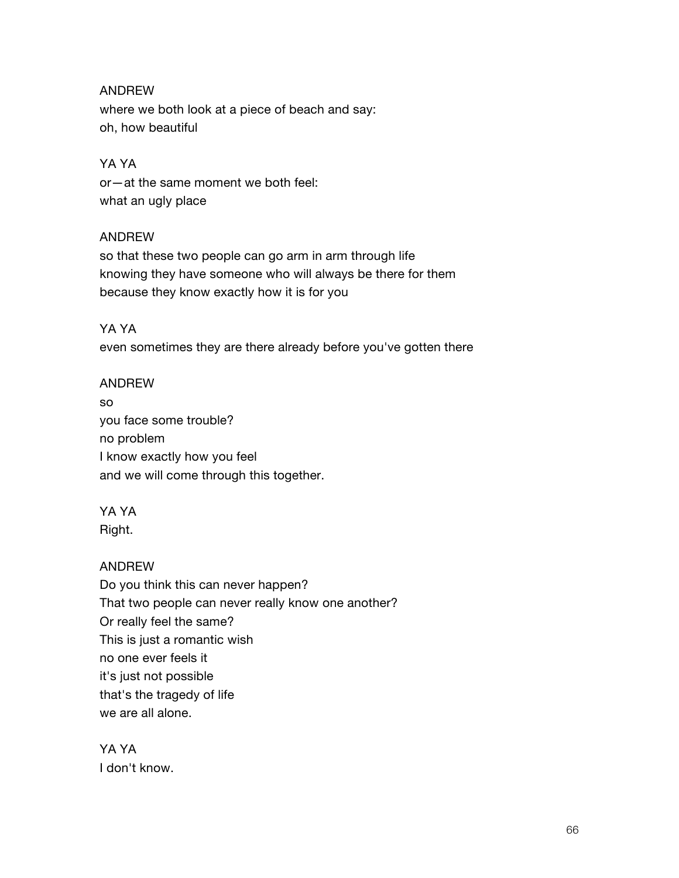where we both look at a piece of beach and say: oh, how beautiful

### YA YA

or—at the same moment we both feel: what an ugly place

### ANDREW

so that these two people can go arm in arm through life knowing they have someone who will always be there for them because they know exactly how it is for you

### YA YA

even sometimes they are there already before you've gotten there

#### ANDREW

so you face some trouble? no problem I know exactly how you feel and we will come through this together.

# YA YA

Right.

### ANDREW

Do you think this can never happen? That two people can never really know one another? Or really feel the same? This is just a romantic wish no one ever feels it it's just not possible that's the tragedy of life we are all alone.

YA YA I don't know.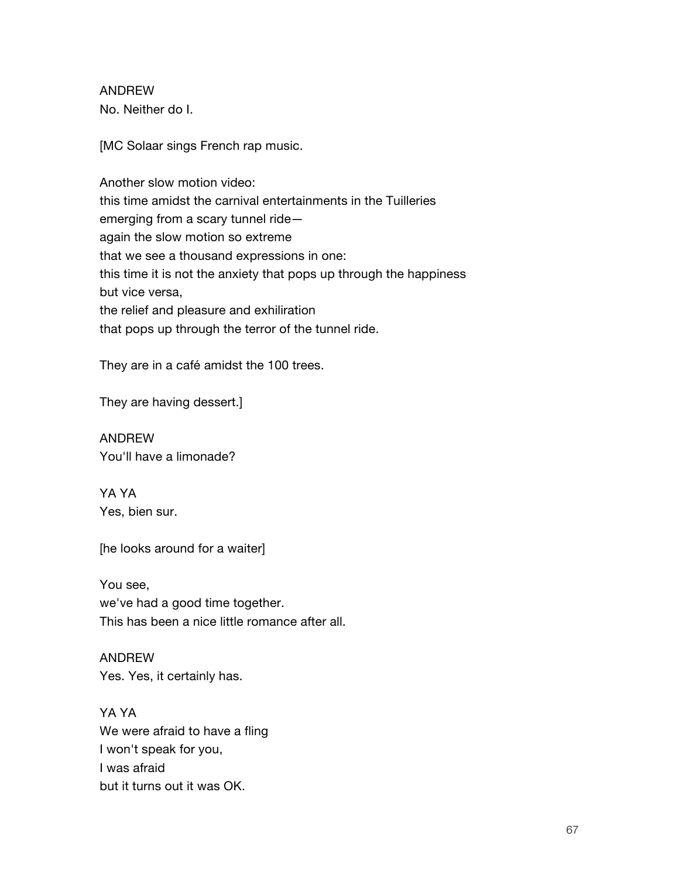ANDREW No. Neither do I.

[MC Solaar sings French rap music.

Another slow motion video: this time amidst the carnival entertainments in the Tuilleries emerging from a scary tunnel ride again the slow motion so extreme that we see a thousand expressions in one: this time it is not the anxiety that pops up through the happiness but vice versa, the relief and pleasure and exhiliration that pops up through the terror of the tunnel ride.

They are in a café amidst the 100 trees.

They are having dessert.]

ANDREW You'll have a limonade?

YA YA Yes, bien sur.

[he looks around for a waiter]

You see, we've had a good time together. This has been a nice little romance after all.

ANDREW Yes. Yes, it certainly has.

YA YA We were afraid to have a fling I won't speak for you, I was afraid but it turns out it was OK.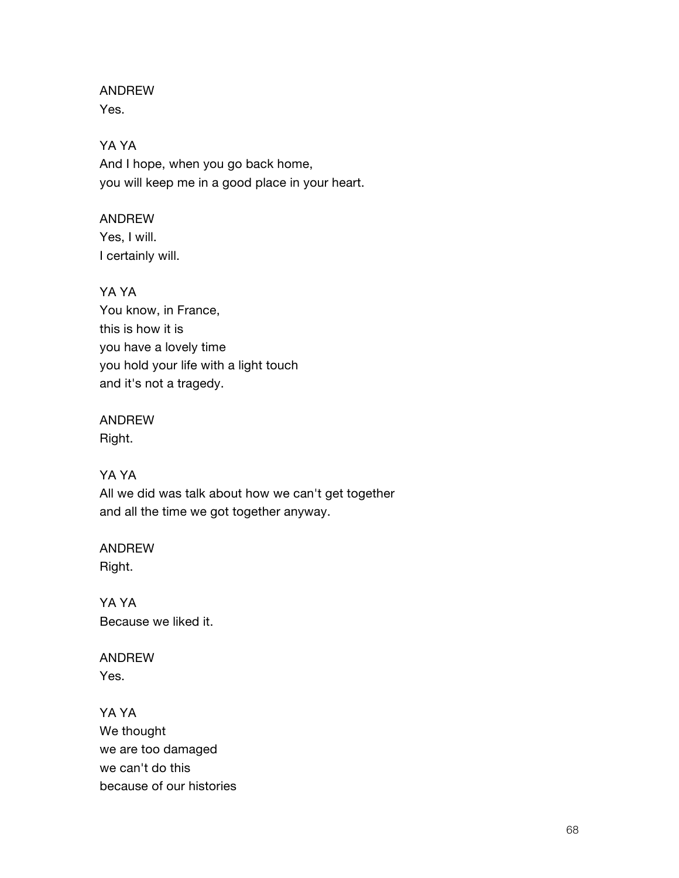Yes.

# YA YA

And I hope, when you go back home, you will keep me in a good place in your heart.

## ANDREW

Yes, I will. I certainly will.

# YA YA

You know, in France, this is how it is you have a lovely time you hold your life with a light touch and it's not a tragedy.

# ANDREW

Right.

# YA YA

All we did was talk about how we can't get together and all the time we got together anyway.

# ANDREW Right.

YA YA Because we liked it.

### ANDREW Yes.

YA YA We thought we are too damaged we can't do this because of our histories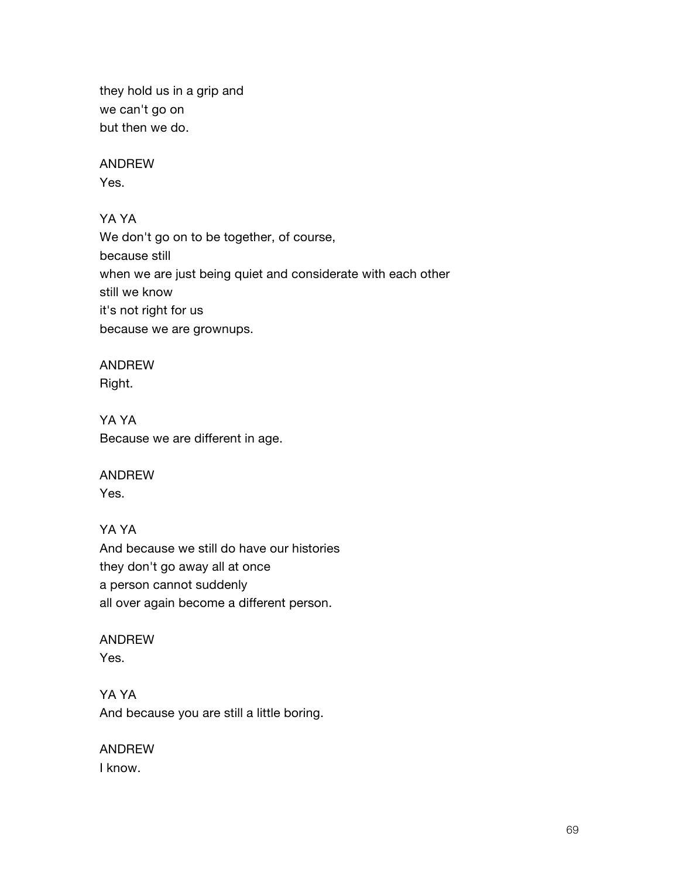they hold us in a grip and we can't go on but then we do.

## ANDREW

Yes.

### YA YA

We don't go on to be together, of course, because still when we are just being quiet and considerate with each other still we know it's not right for us because we are grownups.

### ANDREW

Right.

YA YA Because we are different in age.

### ANDREW

Yes.

### YA YA

And because we still do have our histories they don't go away all at once a person cannot suddenly all over again become a different person.

#### ANDREW Yes.

# YA YA And because you are still a little boring.

ANDREW I know.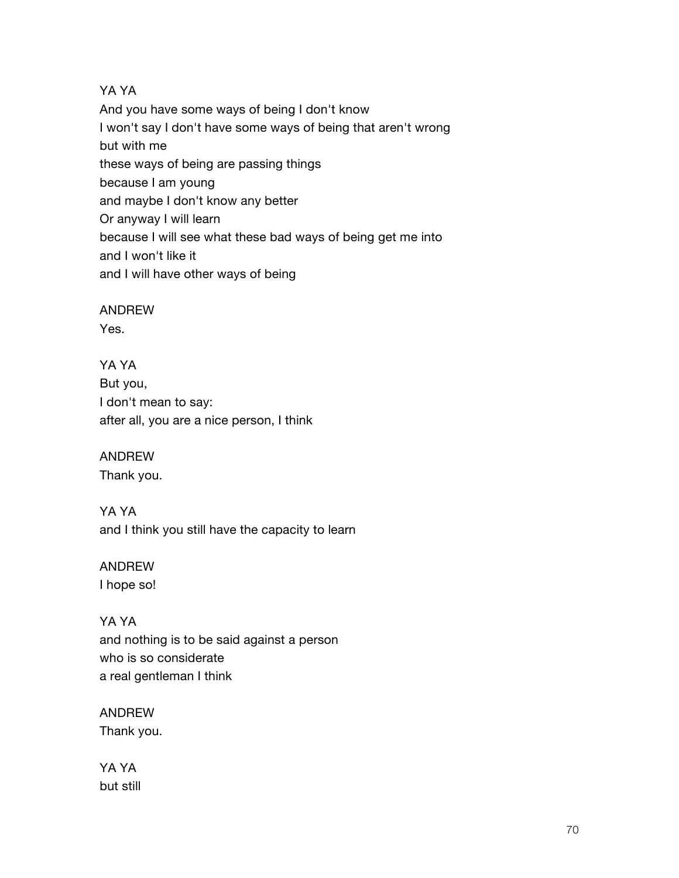### YA YA

And you have some ways of being I don't know I won't say I don't have some ways of being that aren't wrong but with me these ways of being are passing things because I am young and maybe I don't know any better Or anyway I will learn because I will see what these bad ways of being get me into and I won't like it and I will have other ways of being

### ANDREW

Yes.

YA YA But you, I don't mean to say: after all, you are a nice person, I think

ANDREW Thank you.

YA YA and I think you still have the capacity to learn

ANDREW I hope so!

### YA YA

and nothing is to be said against a person who is so considerate a real gentleman I think

ANDREW Thank you.

YA YA but still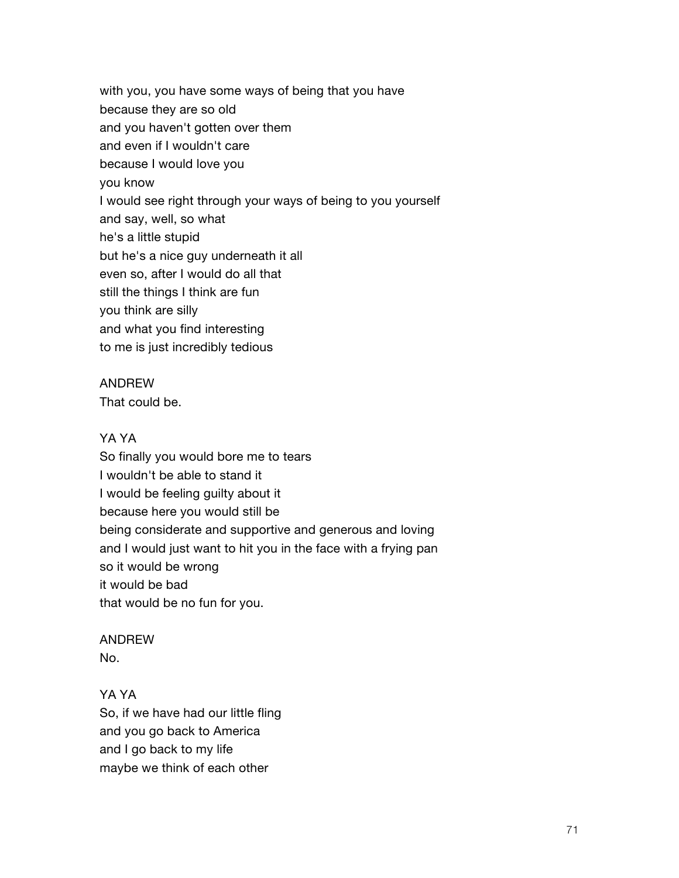with you, you have some ways of being that you have because they are so old and you haven't gotten over them and even if I wouldn't care because I would love you you know I would see right through your ways of being to you yourself and say, well, so what he's a little stupid but he's a nice guy underneath it all even so, after I would do all that still the things I think are fun you think are silly and what you find interesting to me is just incredibly tedious

### ANDREW

That could be.

#### YA YA

So finally you would bore me to tears I wouldn't be able to stand it I would be feeling guilty about it because here you would still be being considerate and supportive and generous and loving and I would just want to hit you in the face with a frying pan so it would be wrong it would be bad that would be no fun for you.

### ANDREW

No.

### YA YA

So, if we have had our little fling and you go back to America and I go back to my life maybe we think of each other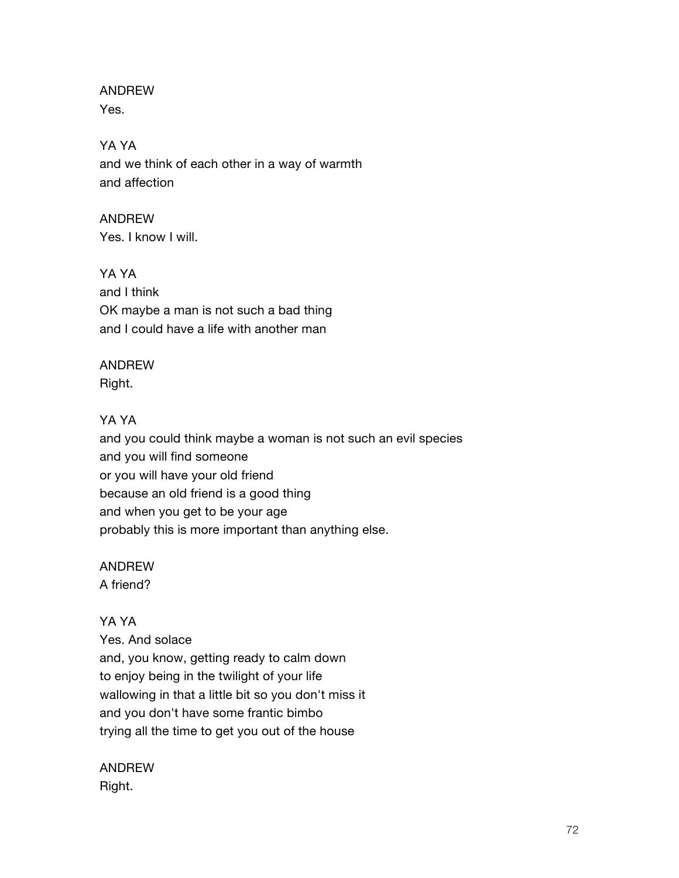Yes.

# YA YA

and we think of each other in a way of warmth and affection

# ANDREW

Yes. I know I will.

# YA YA and I think OK maybe a man is not such a bad thing and I could have a life with another man

# ANDREW

Right.

# YA YA

and you could think maybe a woman is not such an evil species and you will find someone or you will have your old friend because an old friend is a good thing and when you get to be your age probably this is more important than anything else.

# ANDREW

A friend?

# YA YA

Yes. And solace and, you know, getting ready to calm down to enjoy being in the twilight of your life wallowing in that a little bit so you don't miss it and you don't have some frantic bimbo trying all the time to get you out of the house

ANDREW Right.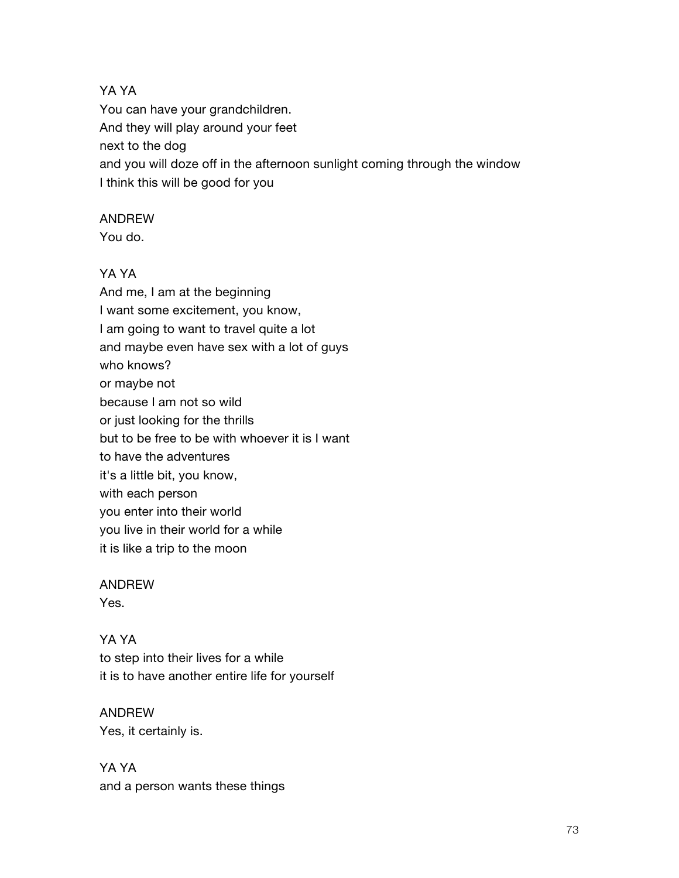YA YA You can have your grandchildren. And they will play around your feet next to the dog and you will doze off in the afternoon sunlight coming through the window I think this will be good for you

#### ANDREW

You do.

## YA YA

And me, I am at the beginning I want some excitement, you know, I am going to want to travel quite a lot and maybe even have sex with a lot of guys who knows? or maybe not because I am not so wild or just looking for the thrills but to be free to be with whoever it is I want to have the adventures it's a little bit, you know, with each person you enter into their world you live in their world for a while it is like a trip to the moon

## ANDREW

Yes.

## YA YA

to step into their lives for a while it is to have another entire life for yourself

## ANDREW Yes, it certainly is.

YA YA and a person wants these things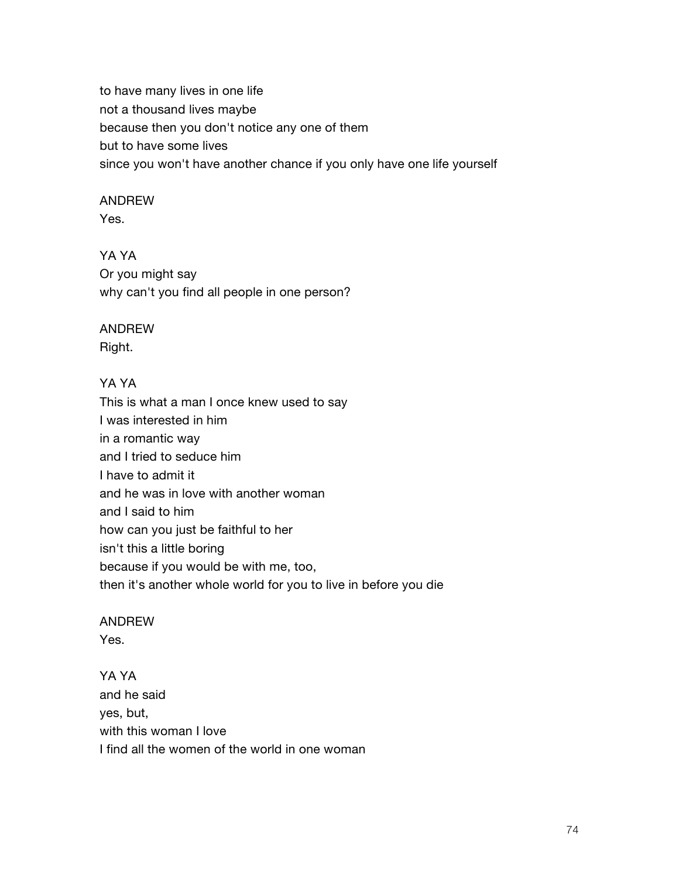to have many lives in one life not a thousand lives maybe because then you don't notice any one of them but to have some lives since you won't have another chance if you only have one life yourself

#### ANDREW

Yes.

YA YA Or you might say why can't you find all people in one person?

## ANDREW

Right.

#### YA YA

This is what a man I once knew used to say I was interested in him in a romantic way and I tried to seduce him I have to admit it and he was in love with another woman and I said to him how can you just be faithful to her isn't this a little boring because if you would be with me, too, then it's another whole world for you to live in before you die

#### ANDREW

Yes.

YA YA and he said yes, but, with this woman I love I find all the women of the world in one woman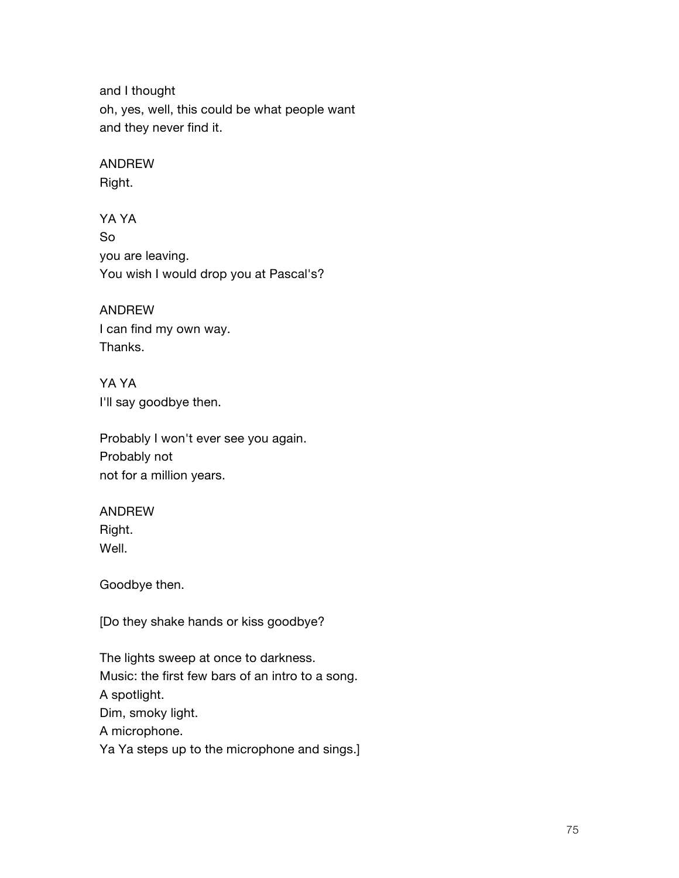and I thought oh, yes, well, this could be what people want and they never find it.

# ANDREW

Right.

YA YA So you are leaving. You wish I would drop you at Pascal's?

ANDREW I can find my own way. Thanks.

YA YA I'll say goodbye then.

Probably I won't ever see you again. Probably not not for a million years.

## ANDREW

Right. Well.

Goodbye then.

[Do they shake hands or kiss goodbye?

The lights sweep at once to darkness. Music: the first few bars of an intro to a song. A spotlight. Dim, smoky light. A microphone. Ya Ya steps up to the microphone and sings.]